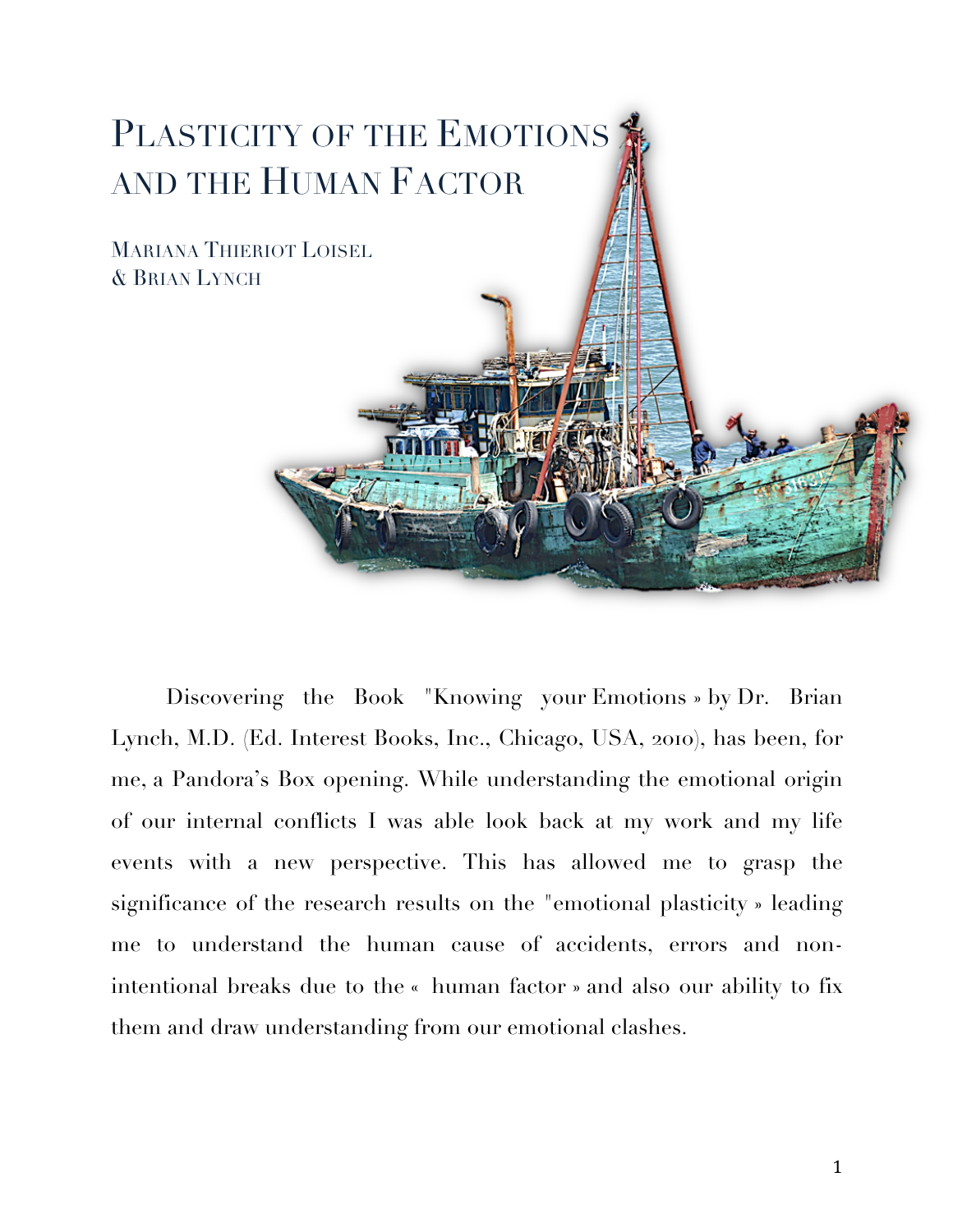

Discovering the Book "Knowing your Emotions » by Dr. Brian Lynch, M.D. (Ed. Interest Books, Inc., Chicago, USA, 2010), has been, for me, a Pandora's Box opening. While understanding the emotional origin of our internal conflicts I was able look back at my work and my life events with a new perspective. This has allowed me to grasp the significance of the research results on the "emotional plasticity » leading me to understand the human cause of accidents, errors and nonintentional breaks due to the « human factor » and also our ability to fix them and draw understanding from our emotional clashes.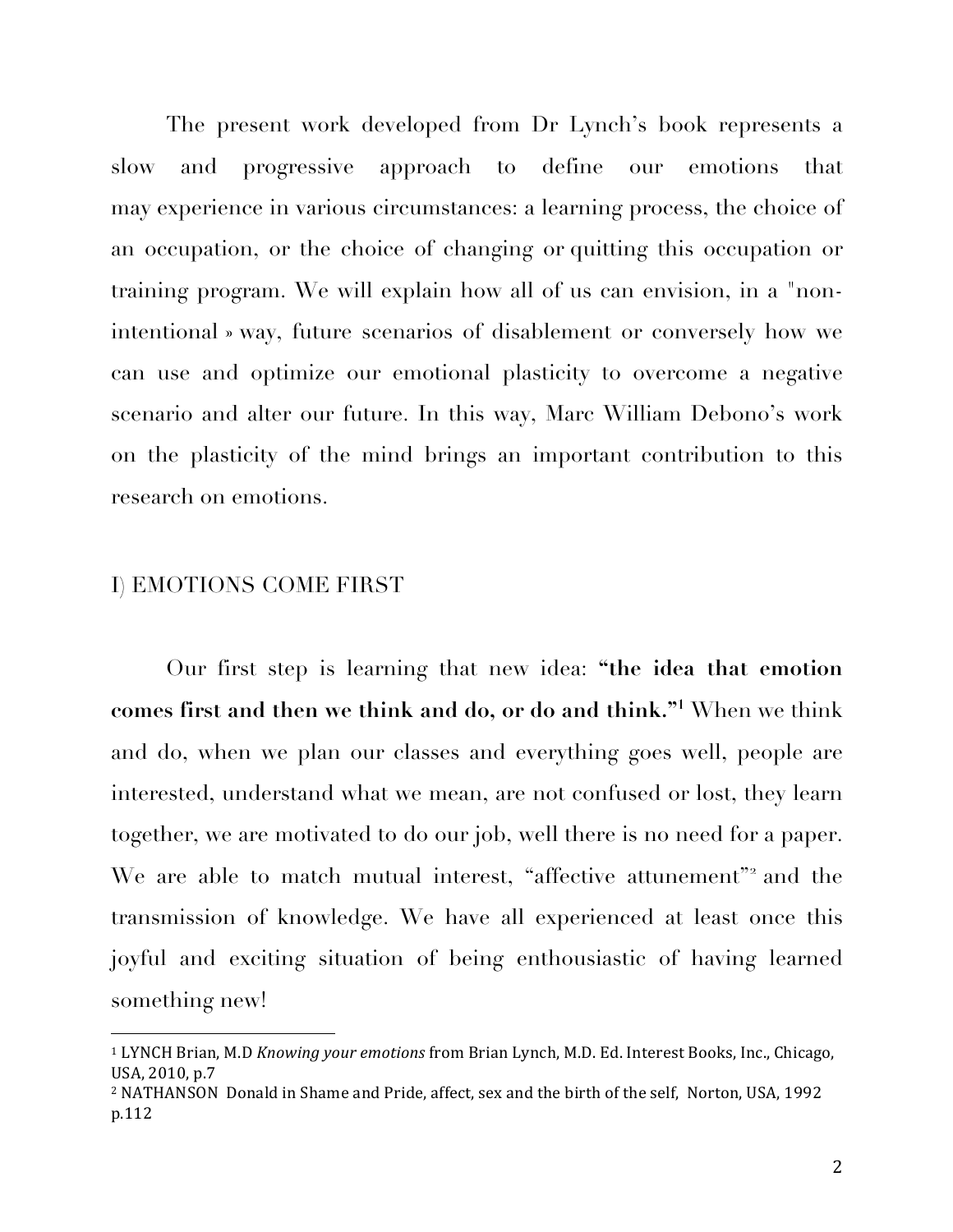The present work developed from Dr Lynch's book represents a slow and progressive approach to define our emotions that may experience in various circumstances: a learning process, the choice of an occupation, or the choice of changing or quitting this occupation or training program. We will explain how all of us can envision, in a "nonintentional » way, future scenarios of disablement or conversely how we can use and optimize our emotional plasticity to overcome a negative scenario and alter our future. In this way, Marc William Debono's work on the plasticity of the mind brings an important contribution to this research on emotions.

### I) EMOTIONS COME FIRST

 

Our first step is learning that new idea: **"the idea that emotion comes first and then we think and do, or do and think."1** When we think and do, when we plan our classes and everything goes well, people are interested, understand what we mean, are not confused or lost, they learn together, we are motivated to do our job, well there is no need for a paper. We are able to match mutual interest, "affective attunement"<sup>2</sup> and the transmission of knowledge. We have all experienced at least once this joyful and exciting situation of being enthousiastic of having learned something new!

<sup>&</sup>lt;sup>1</sup> LYNCH Brian, M.D *Knowing your emotions* from Brian Lynch, M.D. Ed. Interest Books, Inc., Chicago, USA, 2010, p.7

<sup>&</sup>lt;sup>2</sup> NATHANSON Donald in Shame and Pride, affect, sex and the birth of the self, Norton, USA, 1992 p.112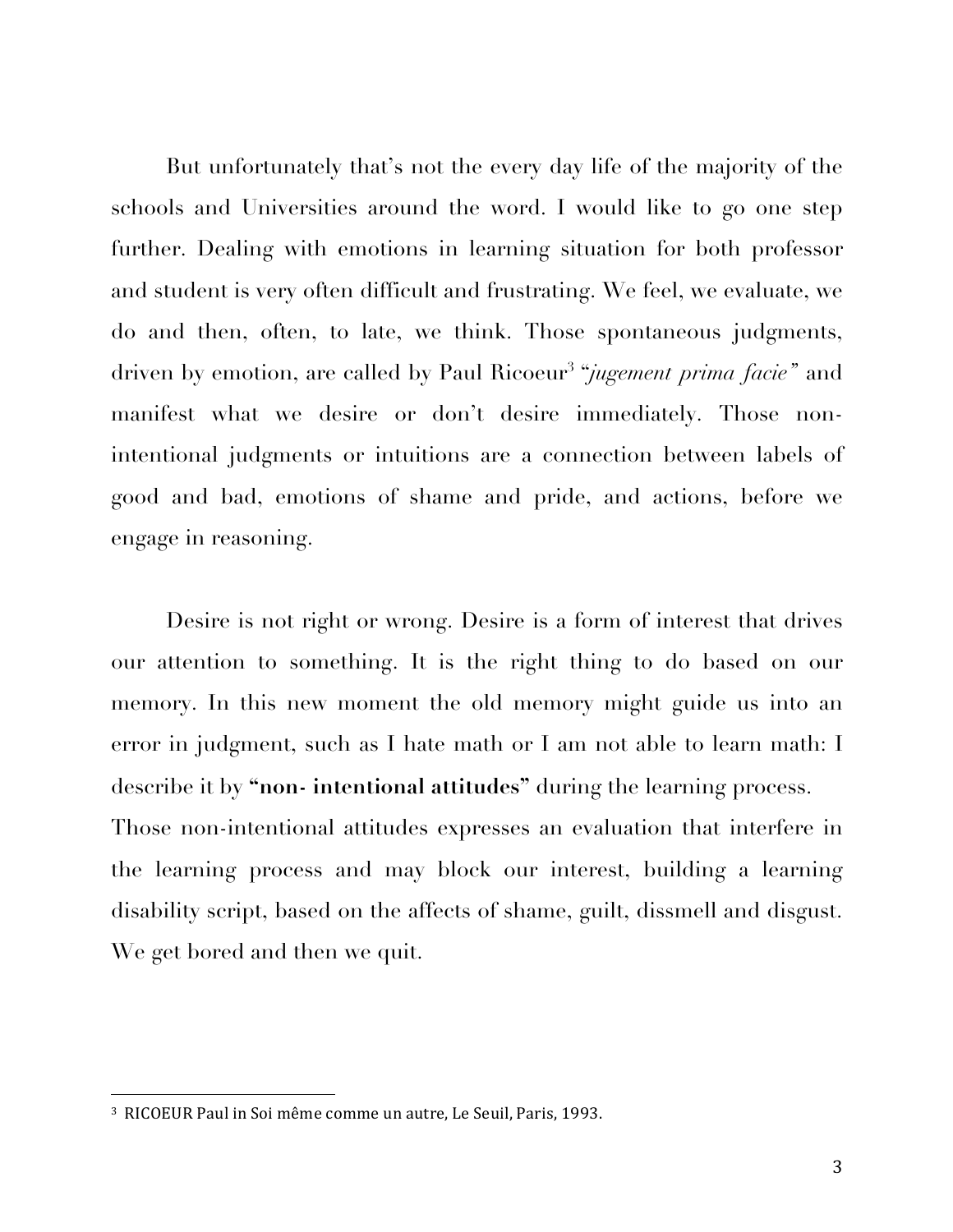But unfortunately that's not the every day life of the majority of the schools and Universities around the word. I would like to go one step further. Dealing with emotions in learning situation for both professor and student is very often difficult and frustrating. We feel, we evaluate, we do and then, often, to late, we think. Those spontaneous judgments, driven by emotion, are called by Paul Ricoeur<sup>3</sup> "*jugement prima facie"* and manifest what we desire or don't desire immediately. Those nonintentional judgments or intuitions are a connection between labels of good and bad, emotions of shame and pride, and actions, before we engage in reasoning.

Desire is not right or wrong. Desire is a form of interest that drives our attention to something. It is the right thing to do based on our memory. In this new moment the old memory might guide us into an error in judgment, such as I hate math or I am not able to learn math: I describe it by "non-intentional attitudes" during the learning process.

Those non-intentional attitudes expresses an evaluation that interfere in the learning process and may block our interest, building a learning disability script, based on the affects of shame, guilt, dissmell and disgust. We get bored and then we quit.

<sup>&</sup>lt;sup>3</sup> RICOEUR Paul in Soi même comme un autre, Le Seuil, Paris, 1993.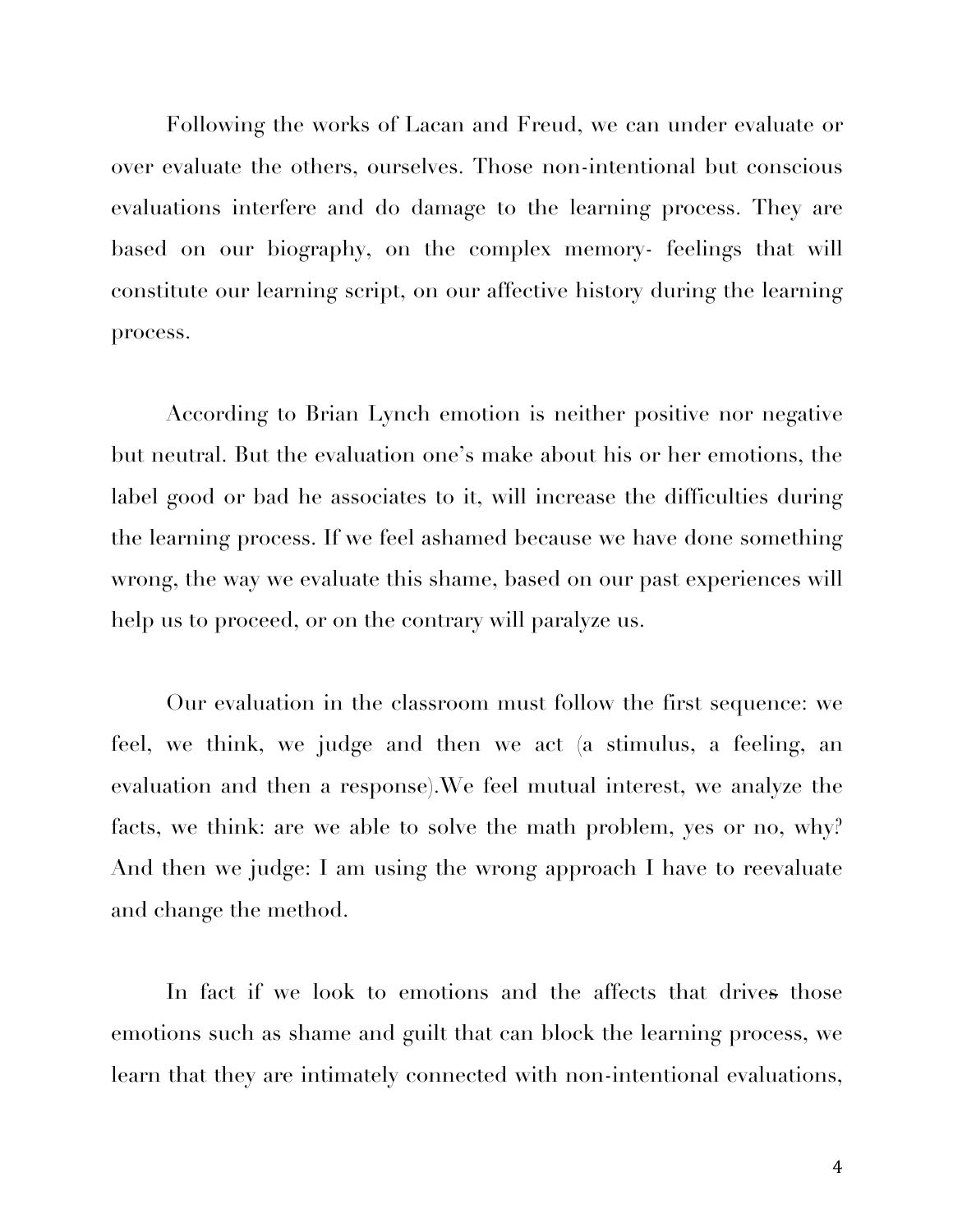Following the works of Lacan and Freud, we can under evaluate or over evaluate the others, ourselves. Those non-intentional but conscious evaluations interfere and do damage to the learning process. They are based on our biography, on the complex memory- feelings that will constitute our learning script, on our affective history during the learning process.

According to Brian Lynch emotion is neither positive nor negative but neutral. But the evaluation one's make about his or her emotions, the label good or bad he associates to it, will increase the difficulties during the learning process. If we feel ashamed because we have done something wrong, the way we evaluate this shame, based on our past experiences will help us to proceed, or on the contrary will paralyze us.

Our evaluation in the classroom must follow the first sequence: we feel, we think, we judge and then we act (a stimulus, a feeling, an evaluation and then a response).We feel mutual interest, we analyze the facts, we think: are we able to solve the math problem, yes or no, why? And then we judge: I am using the wrong approach I have to reevaluate and change the method.

In fact if we look to emotions and the affects that drives those emotions such as shame and guilt that can block the learning process, we learn that they are intimately connected with non-intentional evaluations,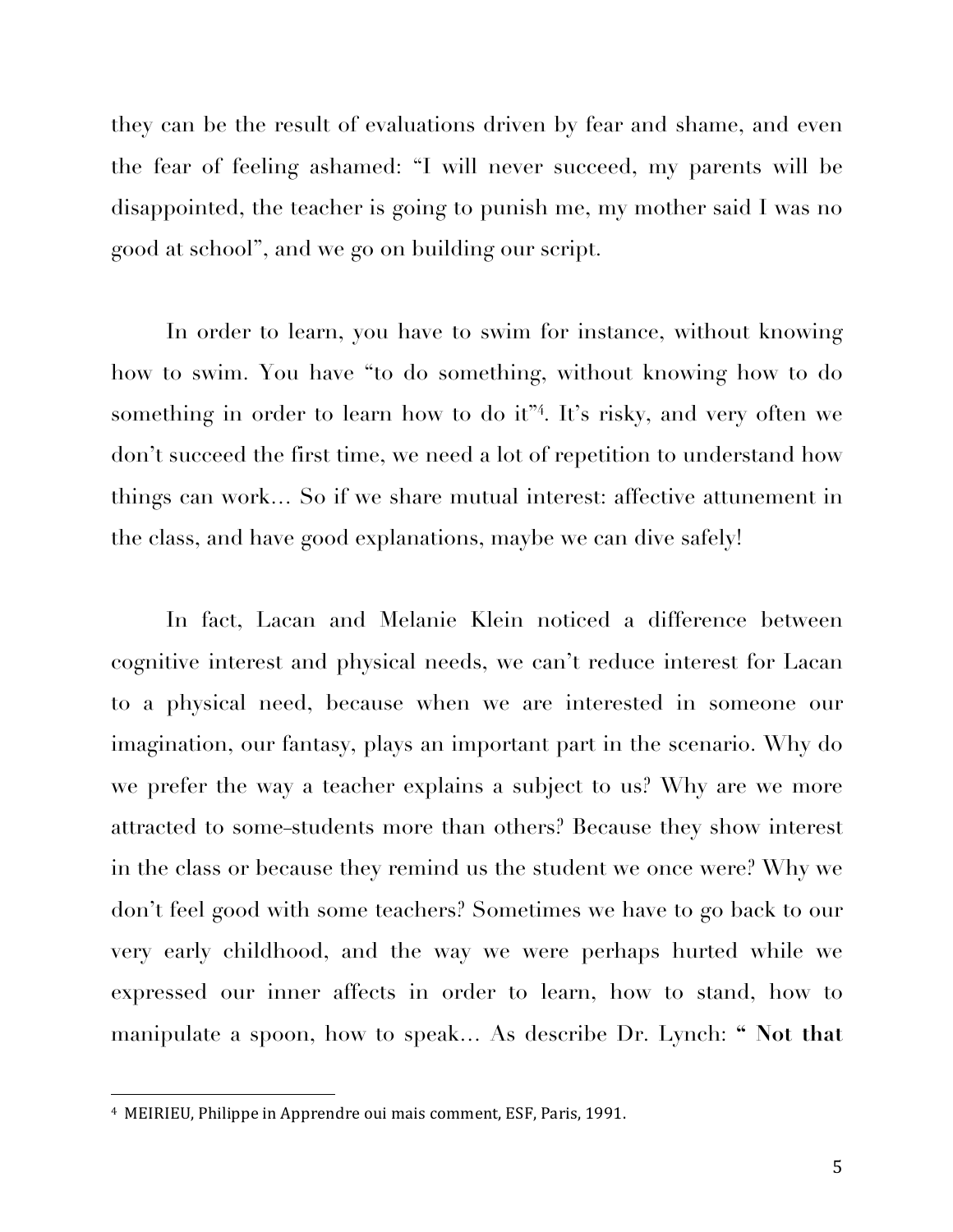they can be the result of evaluations driven by fear and shame, and even the fear of feeling ashamed: "I will never succeed, my parents will be disappointed, the teacher is going to punish me, my mother said I was no good at school", and we go on building our script.

In order to learn, you have to swim for instance, without knowing how to swim. You have "to do something, without knowing how to do something in order to learn how to do it<sup>"4</sup>. It's risky, and very often we don't succeed the first time, we need a lot of repetition to understand how things can work… So if we share mutual interest: affective attunement in the class, and have good explanations, maybe we can dive safely!

In fact, Lacan and Melanie Klein noticed a difference between cognitive interest and physical needs, we can't reduce interest for Lacan to a physical need, because when we are interested in someone our imagination, our fantasy, plays an important part in the scenario. Why do we prefer the way a teacher explains a subject to us? Why are we more attracted to some students more than others? Because they show interest in the class or because they remind us the student we once were? Why we don't feel good with some teachers? Sometimes we have to go back to our very early childhood, and the way we were perhaps hurted while we expressed our inner affects in order to learn, how to stand, how to manipulate a spoon, how to speak… As describe Dr. Lynch: **" Not that** 

<sup>&</sup>lt;sup>4</sup> MEIRIEU, Philippe in Apprendre oui mais comment, ESF, Paris, 1991.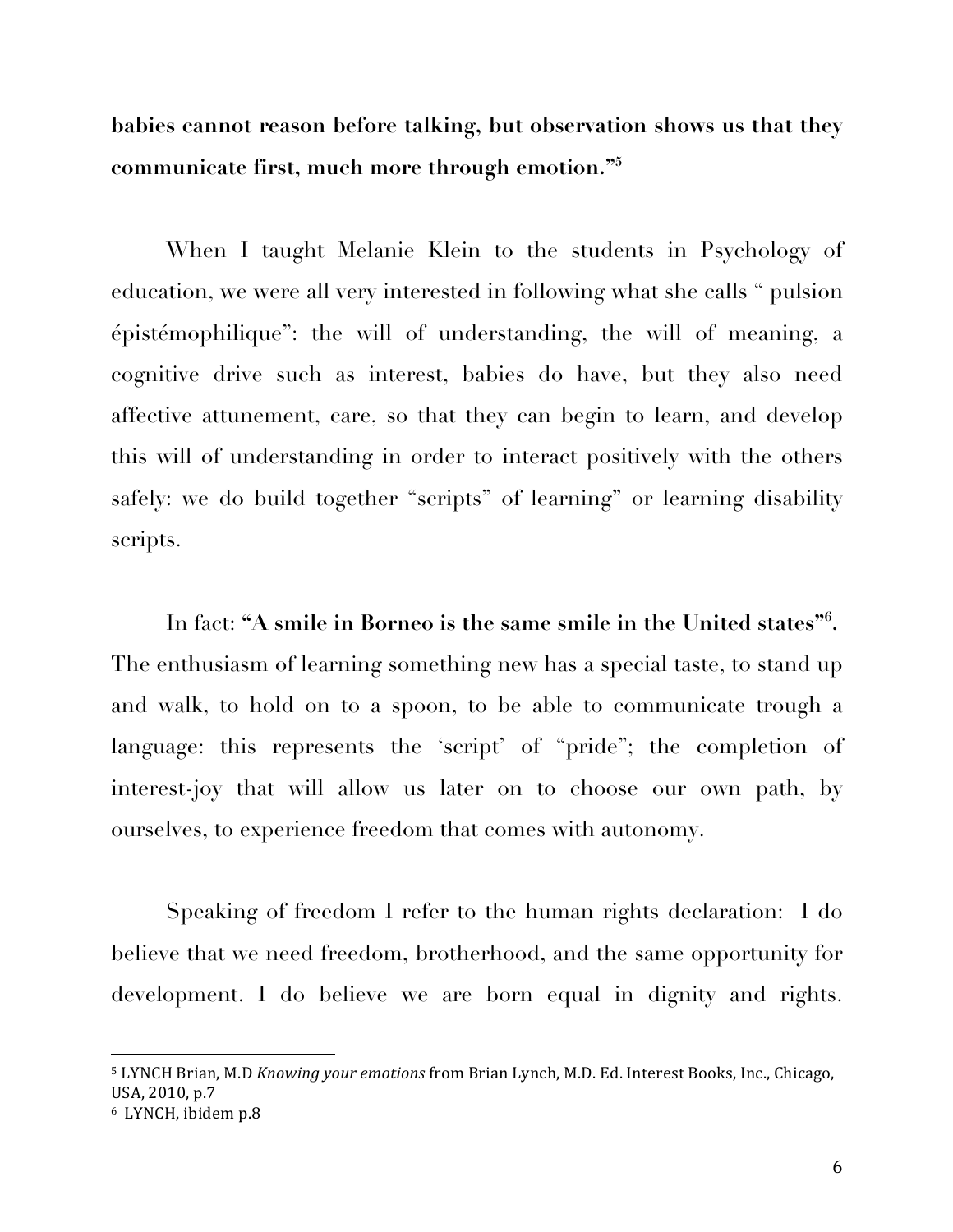**babies cannot reason before talking, but observation shows us that they communicate first, much more through emotion."5**

When I taught Melanie Klein to the students in Psychology of education, we were all very interested in following what she calls " pulsion épistémophilique": the will of understanding, the will of meaning, a cognitive drive such as interest, babies do have, but they also need affective attunement, care, so that they can begin to learn, and develop this will of understanding in order to interact positively with the others safely: we do build together "scripts" of learning" or learning disability scripts.

In fact: **"A smile in Borneo is the same smile in the United states"6 .** The enthusiasm of learning something new has a special taste, to stand up and walk, to hold on to a spoon, to be able to communicate trough a language: this represents the 'script' of "pride"; the completion of interest-joy that will allow us later on to choose our own path, by ourselves, to experience freedom that comes with autonomy.

Speaking of freedom I refer to the human rights declaration: I do believe that we need freedom, brotherhood, and the same opportunity for development. I do believe we are born equal in dignity and rights.

<sup>&</sup>lt;sup>5</sup> LYNCH Brian, M.D *Knowing your emotions* from Brian Lynch, M.D. Ed. Interest Books, Inc., Chicago, USA, 2010, p.7

<sup>&</sup>lt;sup>6</sup> LYNCH, ibidem p.8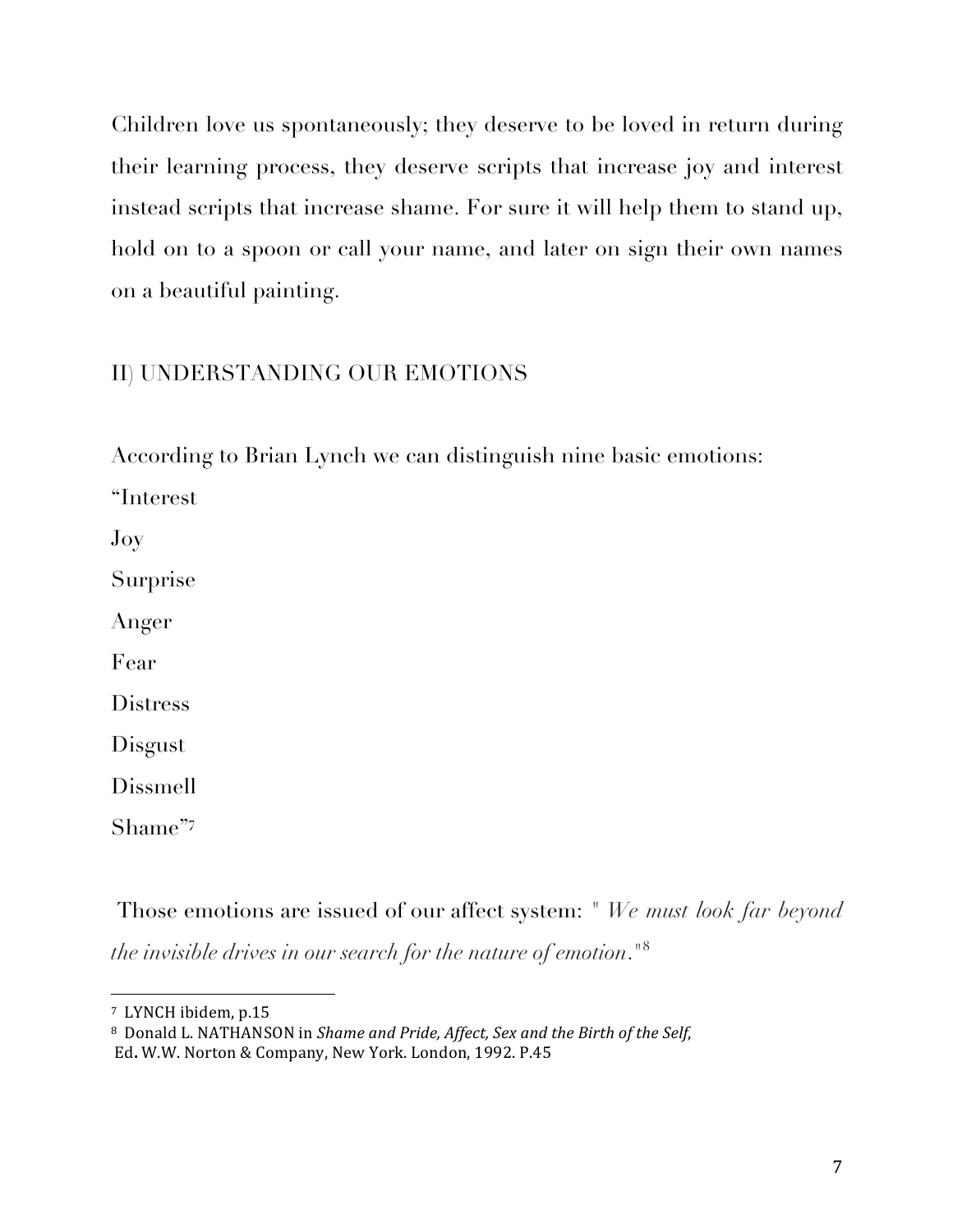Children love us spontaneously; they deserve to be loved in return during their learning process, they deserve scripts that increase joy and interest instead scripts that increase shame. For sure it will help them to stand up, hold on to a spoon or call your name, and later on sign their own names on a beautiful painting.

## II) UNDERSTANDING OUR EMOTIONS

According to Brian Lynch we can distinguish nine basic emotions:

"Interest Joy Surprise Anger Fear **Distress** Disgust

Dissmell

Shame"<sup>7</sup>

Those emotions are issued of our affect system: *" We must look far beyond the invisible drives in our search for the nature of emotion*."<sup>8</sup>

<sup>&</sup>lt;sup>7</sup> LYNCH ibidem, p.15

<sup>8</sup> Donald L. NATHANSON in *Shame and Pride, Affect, Sex and the Birth of the Self,* Ed. W.W. Norton & Company, New York. London, 1992. P.45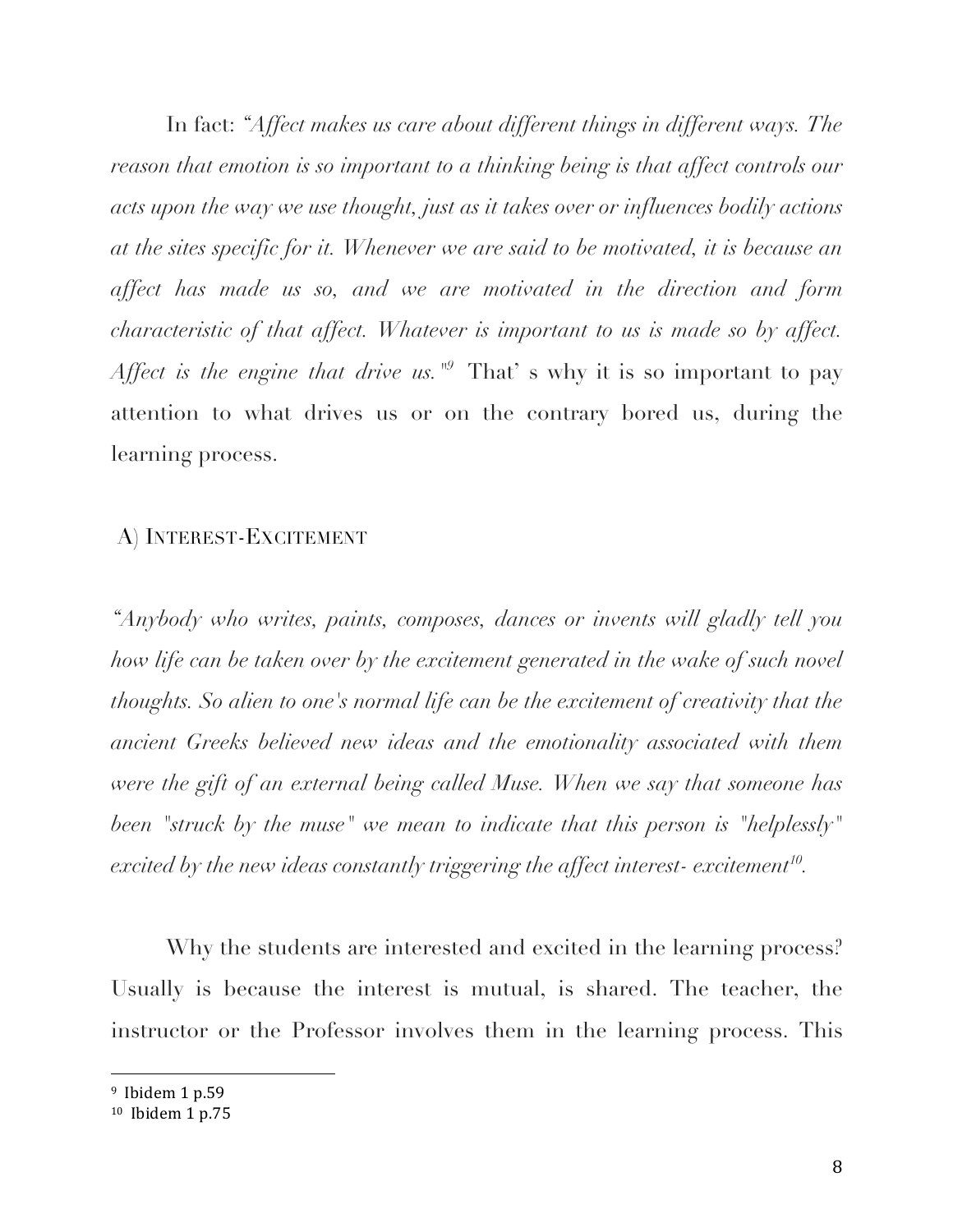In fact: *"Affect makes us care about different things in different ways. The reason that emotion is so important to a thinking being is that affect controls our acts upon the way we use thought, just as it takes over or influences bodily actions at the sites specific for it. Whenever we are said to be motivated, it is because an affect has made us so, and we are motivated in the direction and form characteristic of that affect. Whatever is important to us is made so by affect. Affect is the engine that drive us.*<sup>"9</sup> That' s why it is so important to pay attention to what drives us or on the contrary bored us, during the learning process.

### A) INTEREST-EXCITEMENT

*"Anybody who writes, paints, composes, dances or invents will gladly tell you how life can be taken over by the excitement generated in the wake of such novel thoughts. So alien to one's normal life can be the excitement of creativity that the ancient Greeks believed new ideas and the emotionality associated with them were the gift of an external being called Muse. When we say that someone has been "struck by the muse" we mean to indicate that this person is "helplessly" excited by the new ideas constantly triggering the affect interest- excitement*<sup>10</sup>.

Why the students are interested and excited in the learning process? Usually is because the interest is mutual, is shared. The teacher, the instructor or the Professor involves them in the learning process. This

 $9$  Ibidem 1 p.59

 $10$  Ibidem 1 p.75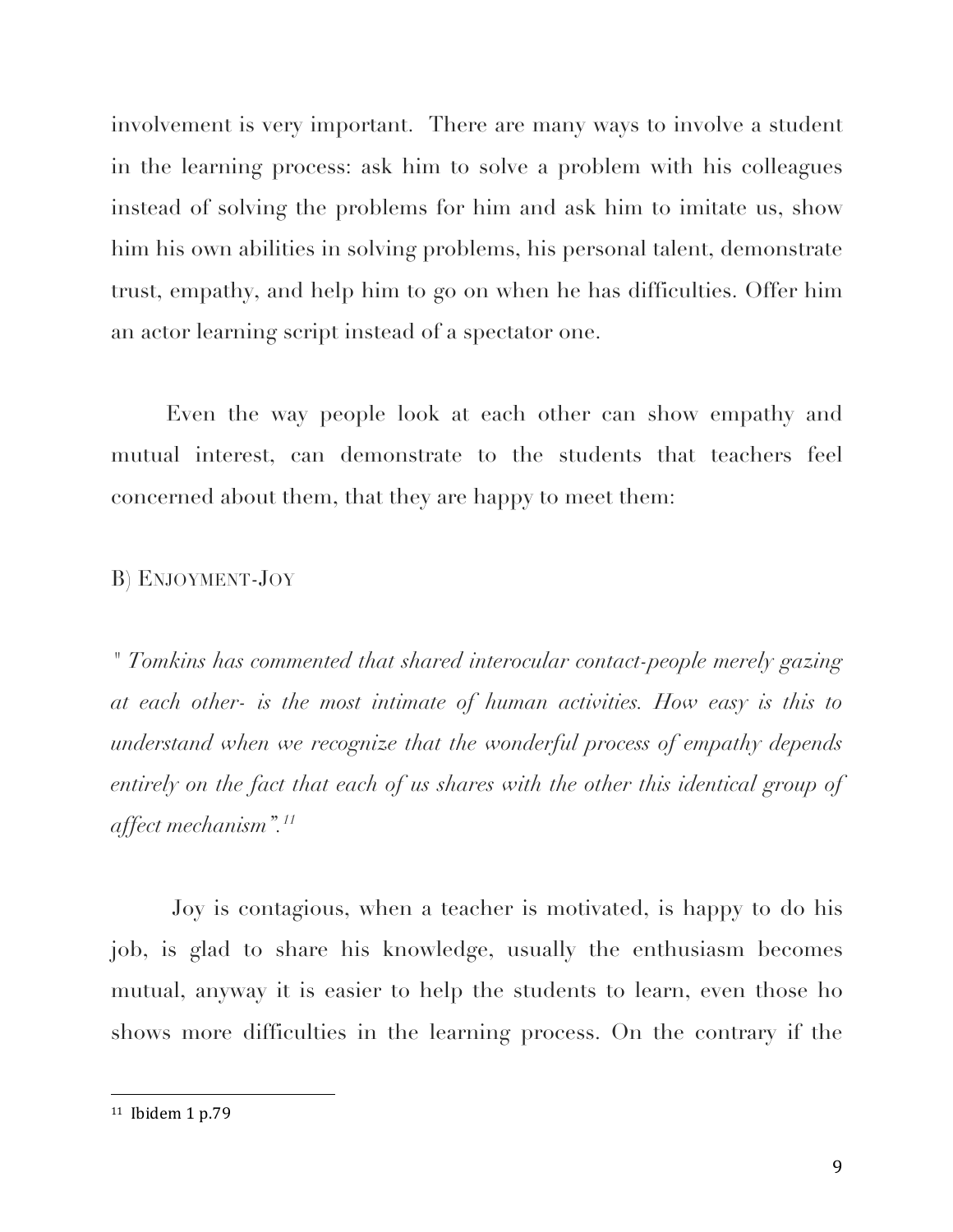involvement is very important. There are many ways to involve a student in the learning process: ask him to solve a problem with his colleagues instead of solving the problems for him and ask him to imitate us, show him his own abilities in solving problems, his personal talent, demonstrate trust, empathy, and help him to go on when he has difficulties. Offer him an actor learning script instead of a spectator one.

Even the way people look at each other can show empathy and mutual interest, can demonstrate to the students that teachers feel concerned about them, that they are happy to meet them:

### B) ENJOYMENT-JOY

*" Tomkins has commented that shared interocular contact-people merely gazing at each other- is the most intimate of human activities. How easy is this to understand when we recognize that the wonderful process of empathy depends*  entirely on the fact that each of us shares with the other this identical group of *affect mechanism".11*

Joy is contagious, when a teacher is motivated, is happy to do his job, is glad to share his knowledge, usually the enthusiasm becomes mutual, anyway it is easier to help the students to learn, even those ho shows more difficulties in the learning process. On the contrary if the

 $11$  Ibidem 1 p.79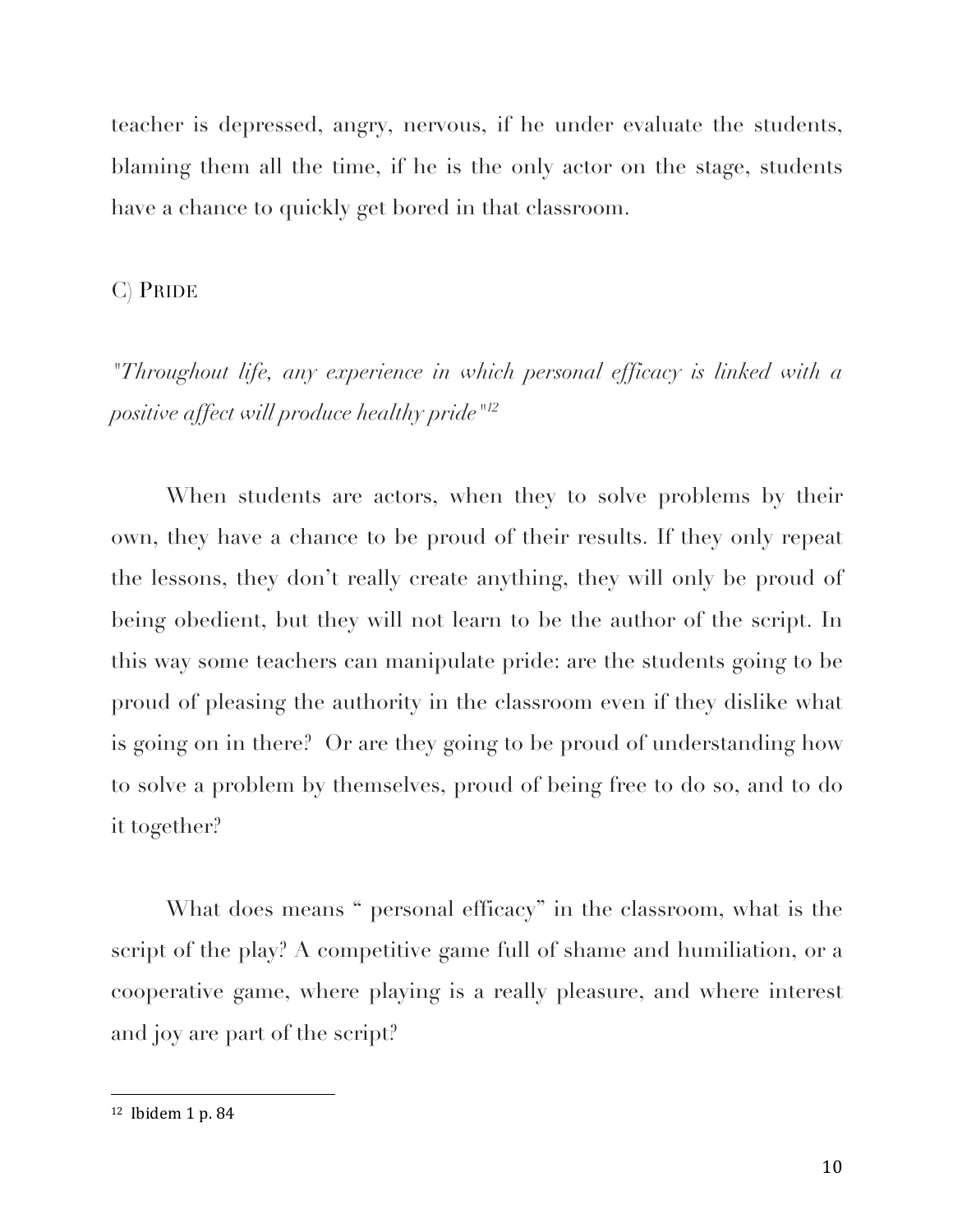teacher is depressed, angry, nervous, if he under evaluate the students, blaming them all the time, if he is the only actor on the stage, students have a chance to quickly get bored in that classroom.

### C) PRIDE

*"Throughout life, any experience in which personal efficacy is linked with a positive affect will produce healthy pride"12*

When students are actors, when they to solve problems by their own, they have a chance to be proud of their results. If they only repeat the lessons, they don't really create anything, they will only be proud of being obedient, but they will not learn to be the author of the script. In this way some teachers can manipulate pride: are the students going to be proud of pleasing the authority in the classroom even if they dislike what is going on in there? Or are they going to be proud of understanding how to solve a problem by themselves, proud of being free to do so, and to do it together?

What does means " personal efficacy" in the classroom, what is the script of the play? A competitive game full of shame and humiliation, or a cooperative game, where playing is a really pleasure, and where interest and joy are part of the script?

<sup>&</sup>lt;sup>12</sup> Ibidem 1 p. 84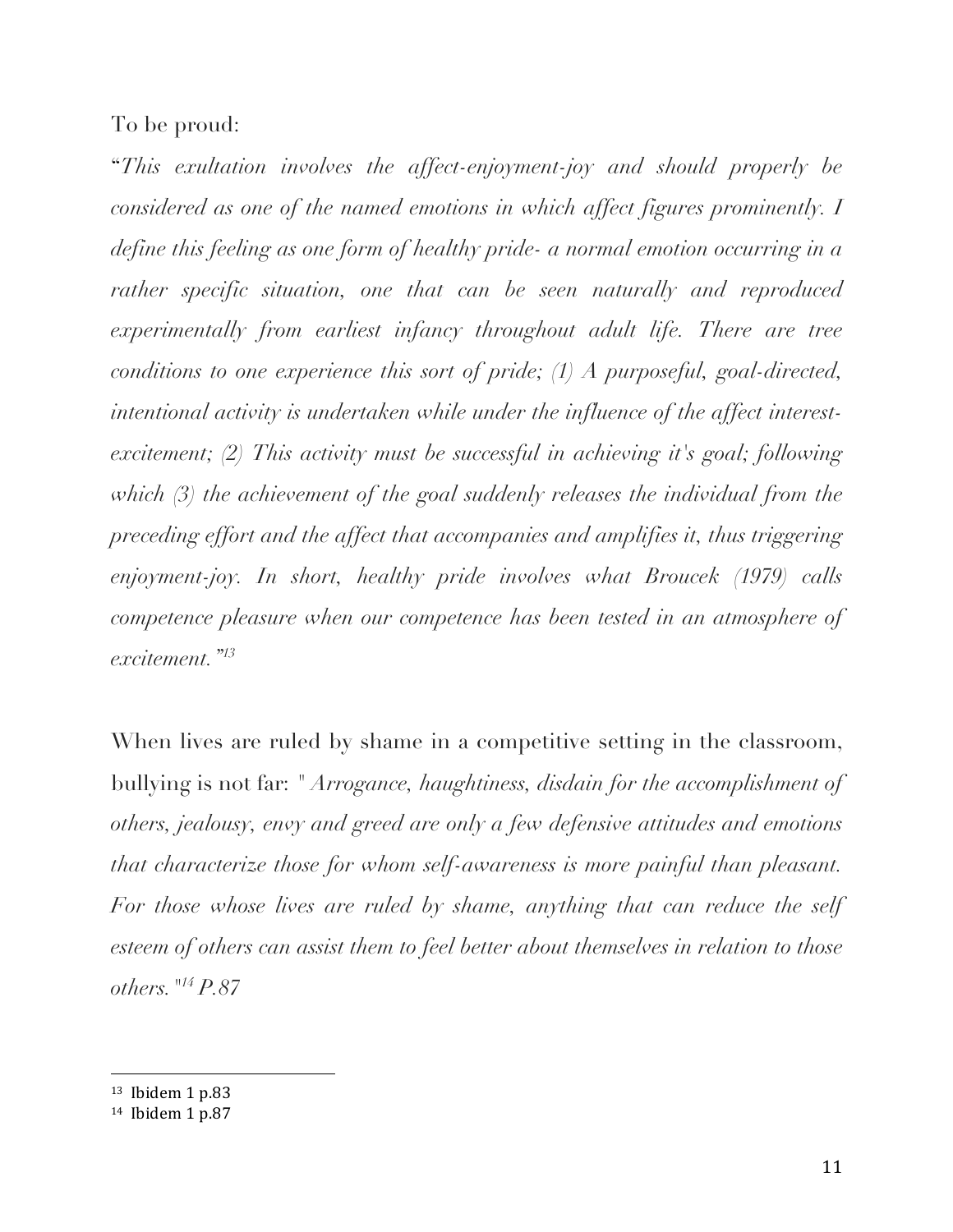To be proud:

"*This exultation involves the affect-enjoyment-joy and should properly be considered as one of the named emotions in which affect figures prominently. I define this feeling as one form of healthy pride- a normal emotion occurring in a rather specific situation, one that can be seen naturally and reproduced experimentally from earliest infancy throughout adult life. There are tree conditions to one experience this sort of pride; (1) A purposeful, goal-directed, intentional activity is undertaken while under the influence of the affect interestexcitement; (2) This activity must be successful in achieving it's goal; following which (3) the achievement of the goal suddenly releases the individual from the preceding effort and the affect that accompanies and amplifies it, thus triggering enjoyment-joy. In short, healthy pride involves what Broucek (1979) calls competence pleasure when our competence has been tested in an atmosphere of excitement."13*

When lives are ruled by shame in a competitive setting in the classroom, bullying is not far: *" Arrogance, haughtiness, disdain for the accomplishment of others, jealousy, envy and greed are only a few defensive attitudes and emotions that characterize those for whom self-awareness is more painful than pleasant. For those whose lives are ruled by shame, anything that can reduce the self esteem of others can assist them to feel better about themselves in relation to those others."14 P.87*

<sup>&</sup>lt;sup>13</sup> Ibidem 1 p.83

<sup>&</sup>lt;sup>14</sup> Ibidem 1 p.87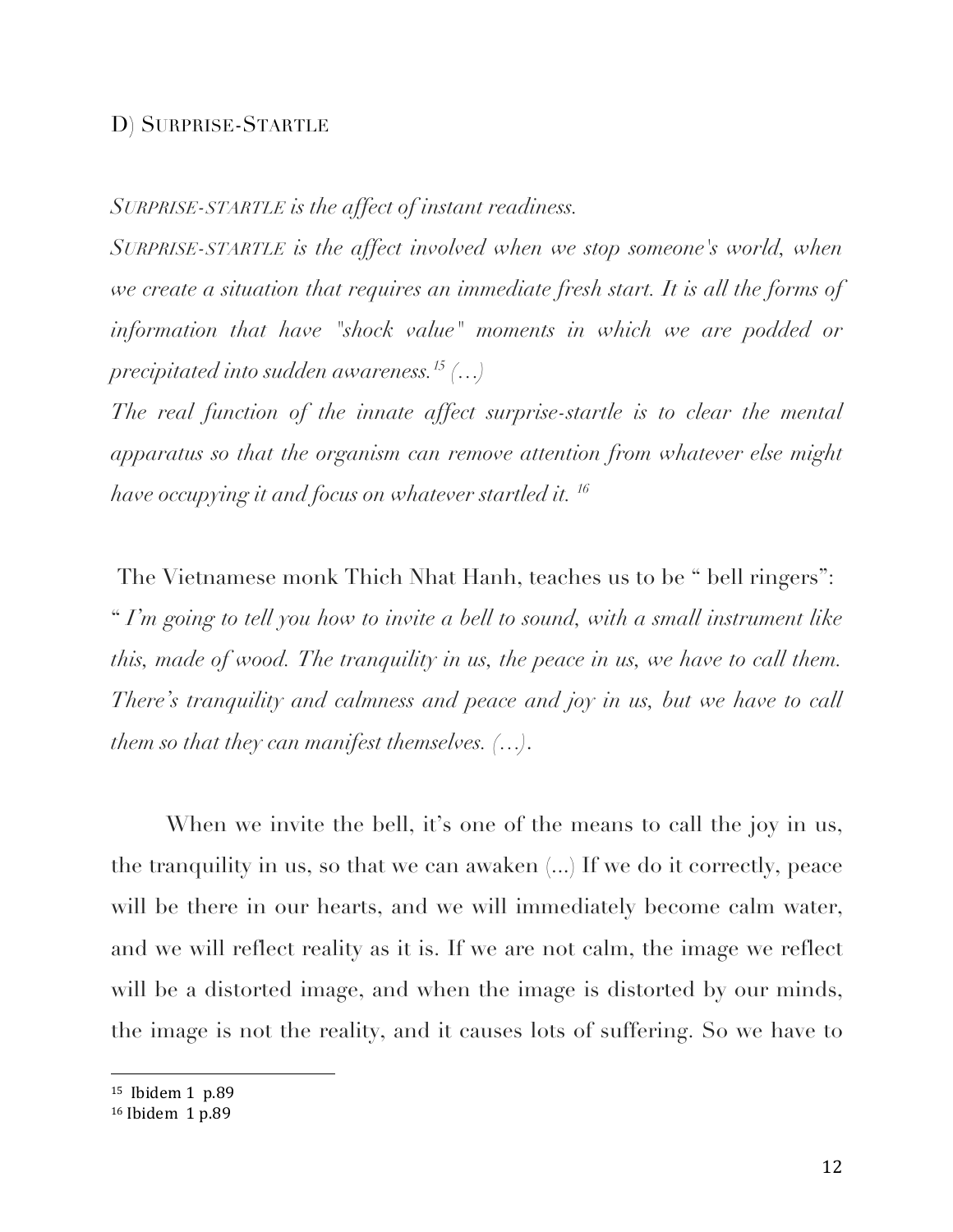### D) SURPRISE-STARTLE

*SURPRISE-STARTLE is the affect of instant readiness.*

*SURPRISE-STARTLE is the affect involved when we stop someone's world, when we create a situation that requires an immediate fresh start. It is all the forms of information that have "shock value" moments in which we are podded or precipitated into sudden awareness.15 (…)*

*The real function of the innate affect surprise-startle is to clear the mental apparatus so that the organism can remove attention from whatever else might have occupying it and focus on whatever startled it. 16*

The Vietnamese monk Thich Nhat Hanh, teaches us to be " bell ringers": " *I'm going to tell you how to invite a bell to sound, with a small instrument like this, made of wood. The tranquility in us, the peace in us, we have to call them. There's tranquility and calmness and peace and joy in us, but we have to call them so that they can manifest themselves. (…)*.

When we invite the bell, it's one of the means to call the joy in us, the tranquility in us, so that we can awaken (...) If we do it correctly, peace will be there in our hearts, and we will immediately become calm water, and we will reflect reality as it is. If we are not calm, the image we reflect will be a distorted image, and when the image is distorted by our minds, the image is not the reality, and it causes lots of suffering. So we have to

<sup>&</sup>lt;sup>15</sup> Ibidem 1 p.89

<sup>&</sup>lt;sup>16</sup> Ibidem 1 p.89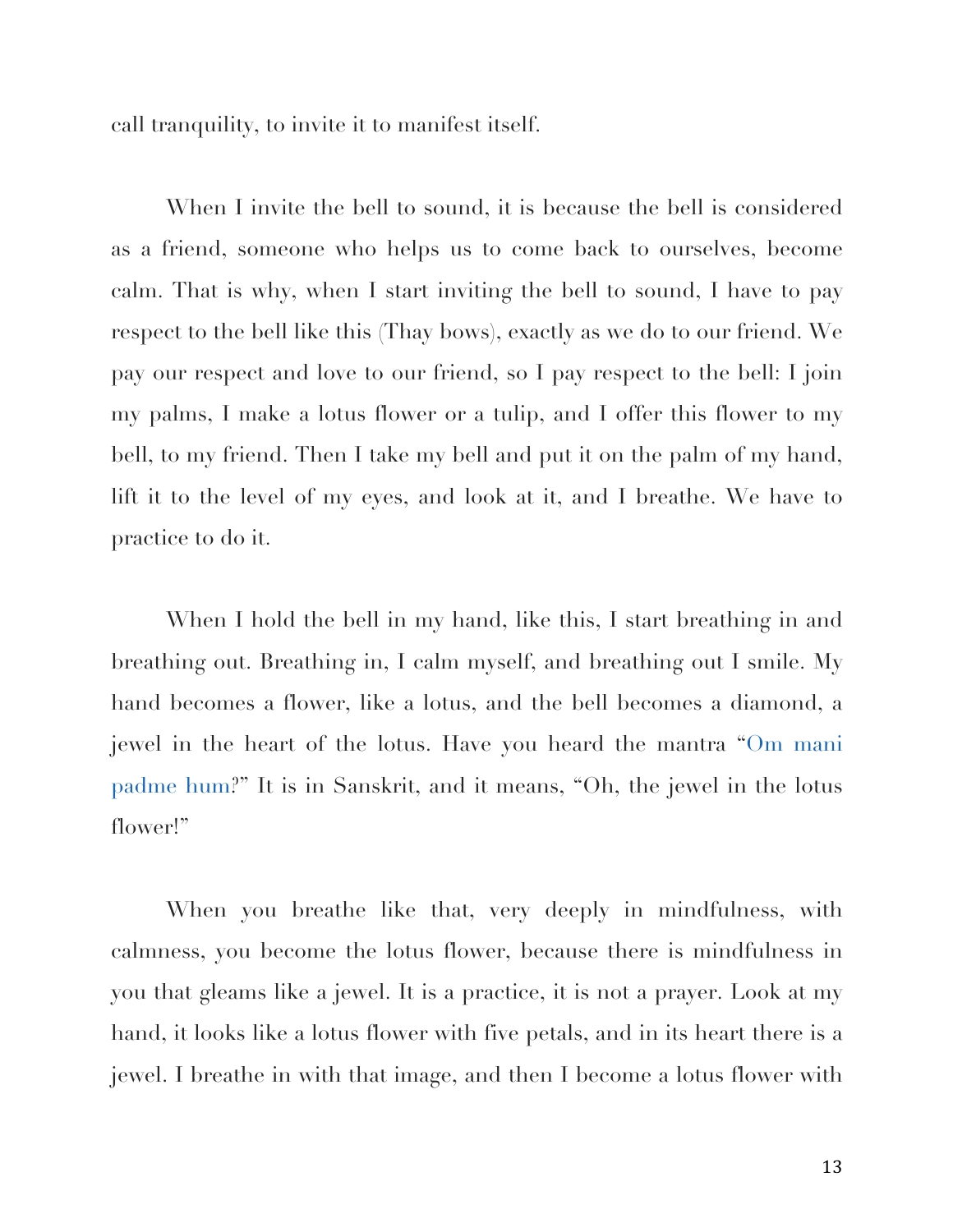call tranquility, to invite it to manifest itself.

When I invite the bell to sound, it is because the bell is considered as a friend, someone who helps us to come back to ourselves, become calm. That is why, when I start inviting the bell to sound, I have to pay respect to the bell like this (Thay bows), exactly as we do to our friend. We pay our respect and love to our friend, so I pay respect to the bell: I join my palms, I make a lotus flower or a tulip, and I offer this flower to my bell, to my friend. Then I take my bell and put it on the palm of my hand, lift it to the level of my eyes, and look at it, and I breathe. We have to practice to do it.

When I hold the bell in my hand, like this, I start breathing in and breathing out. Breathing in, I calm myself, and breathing out I smile. My hand becomes a flower, like a lotus, and the bell becomes a diamond, a jewel in the heart of the lotus. Have you heard the mantra "Om mani padme hum?" It is in Sanskrit, and it means, "Oh, the jewel in the lotus flower!"

When you breathe like that, very deeply in mindfulness, with calmness, you become the lotus flower, because there is mindfulness in you that gleams like a jewel. It is a practice, it is not a prayer. Look at my hand, it looks like a lotus flower with five petals, and in its heart there is a jewel. I breathe in with that image, and then I become a lotus flower with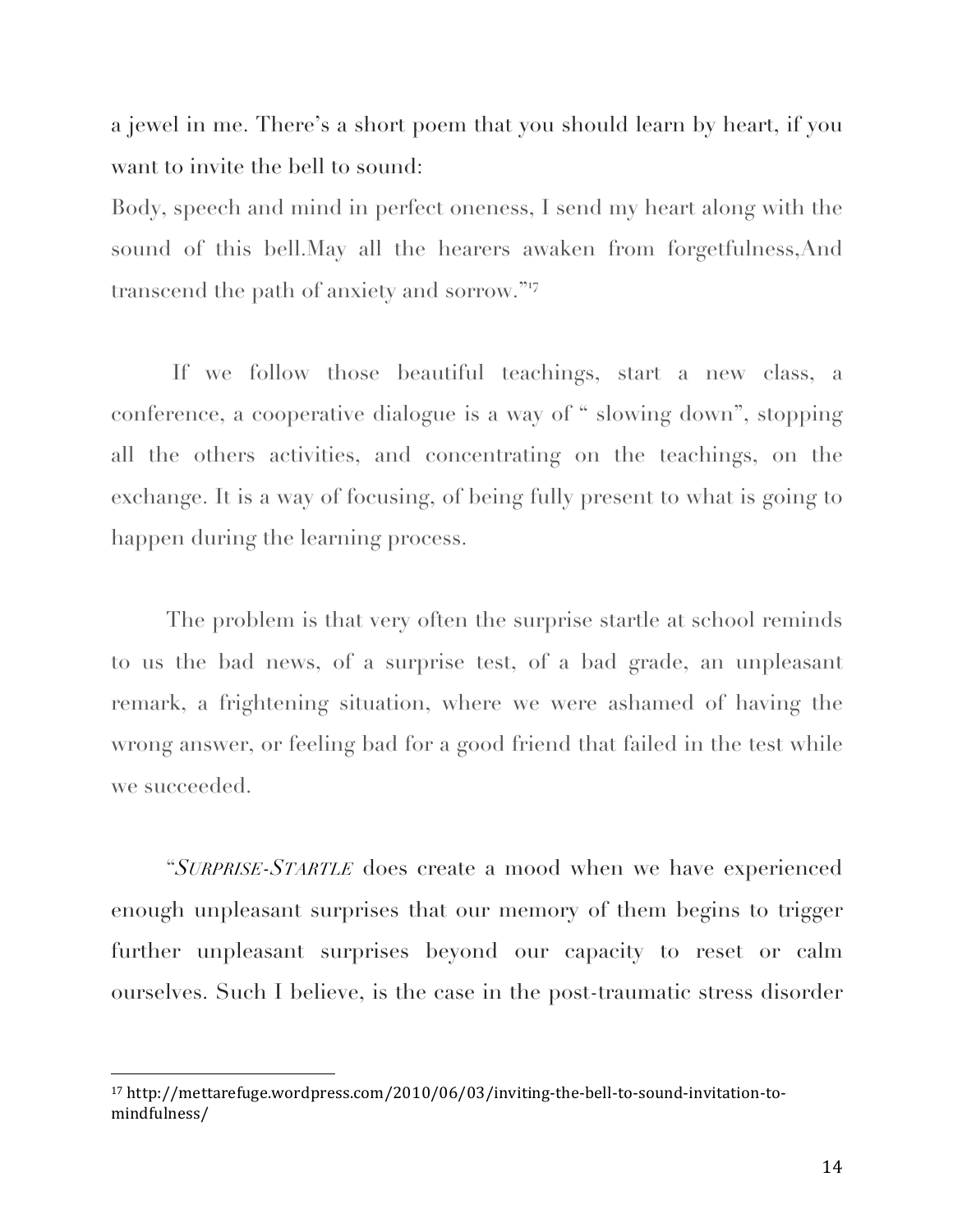a jewel in me. There's a short poem that you should learn by heart, if you want to invite the bell to sound:

Body, speech and mind in perfect oneness, I send my heart along with the sound of this bell.May all the hearers awaken from forgetfulness,And transcend the path of anxiety and sorrow."<sup>17</sup>

If we follow those beautiful teachings, start a new class, a conference, a cooperative dialogue is a way of " slowing down", stopping all the others activities, and concentrating on the teachings, on the exchange. It is a way of focusing, of being fully present to what is going to happen during the learning process.

The problem is that very often the surprise startle at school reminds to us the bad news, of a surprise test, of a bad grade, an unpleasant remark, a frightening situation, where we were ashamed of having the wrong answer, or feeling bad for a good friend that failed in the test while we succeeded.

"*SURPRISE-STARTLE* does create a mood when we have experienced enough unpleasant surprises that our memory of them begins to trigger further unpleasant surprises beyond our capacity to reset or calm ourselves. Such I believe, is the case in the post-traumatic stress disorder

<sup>17</sup> http://mettarefuge.wordpress.com/2010/06/03/inviting-the-bell-to-sound-invitation-tomindfulness/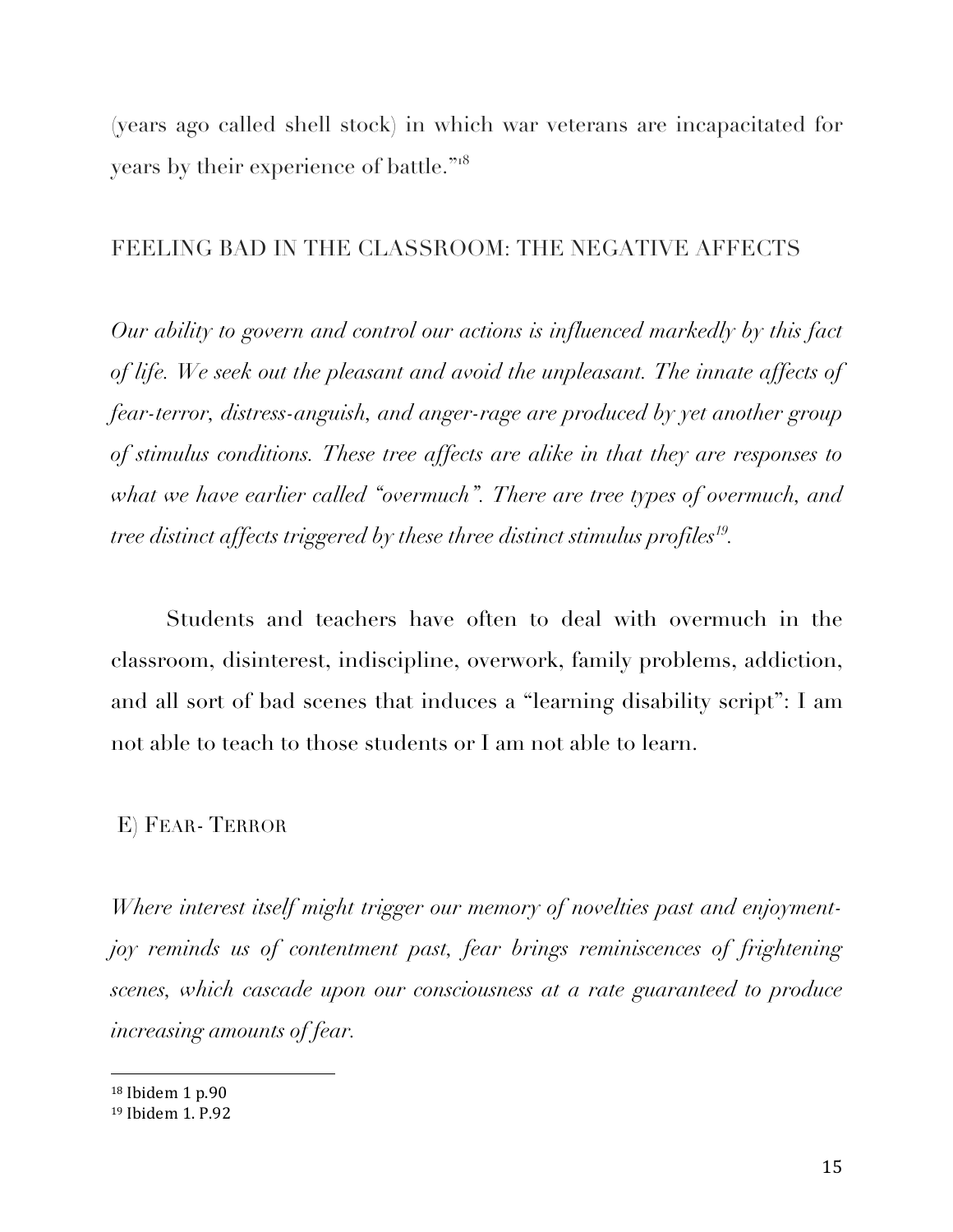(years ago called shell stock) in which war veterans are incapacitated for years by their experience of battle."<sup>18</sup>

### FEELING BAD IN THE CLASSROOM: THE NEGATIVE AFFECTS

*Our ability to govern and control our actions is influenced markedly by this fact of life. We seek out the pleasant and avoid the unpleasant. The innate affects of fear-terror, distress-anguish, and anger-rage are produced by yet another group of stimulus conditions. These tree affects are alike in that they are responses to what we have earlier called "overmuch". There are tree types of overmuch, and tree distinct affects triggered by these three distinct stimulus profiles19.*

Students and teachers have often to deal with overmuch in the classroom, disinterest, indiscipline, overwork, family problems, addiction, and all sort of bad scenes that induces a "learning disability script": I am not able to teach to those students or I am not able to learn.

### E) FEAR- TERROR

*Where interest itself might trigger our memory of novelties past and enjoymentjoy reminds us of contentment past, fear brings reminiscences of frightening scenes, which cascade upon our consciousness at a rate guaranteed to produce increasing amounts of fear.*

<sup>18</sup> Ibidem 1 p.90

<sup>&</sup>lt;sup>19</sup> Ibidem 1. P.92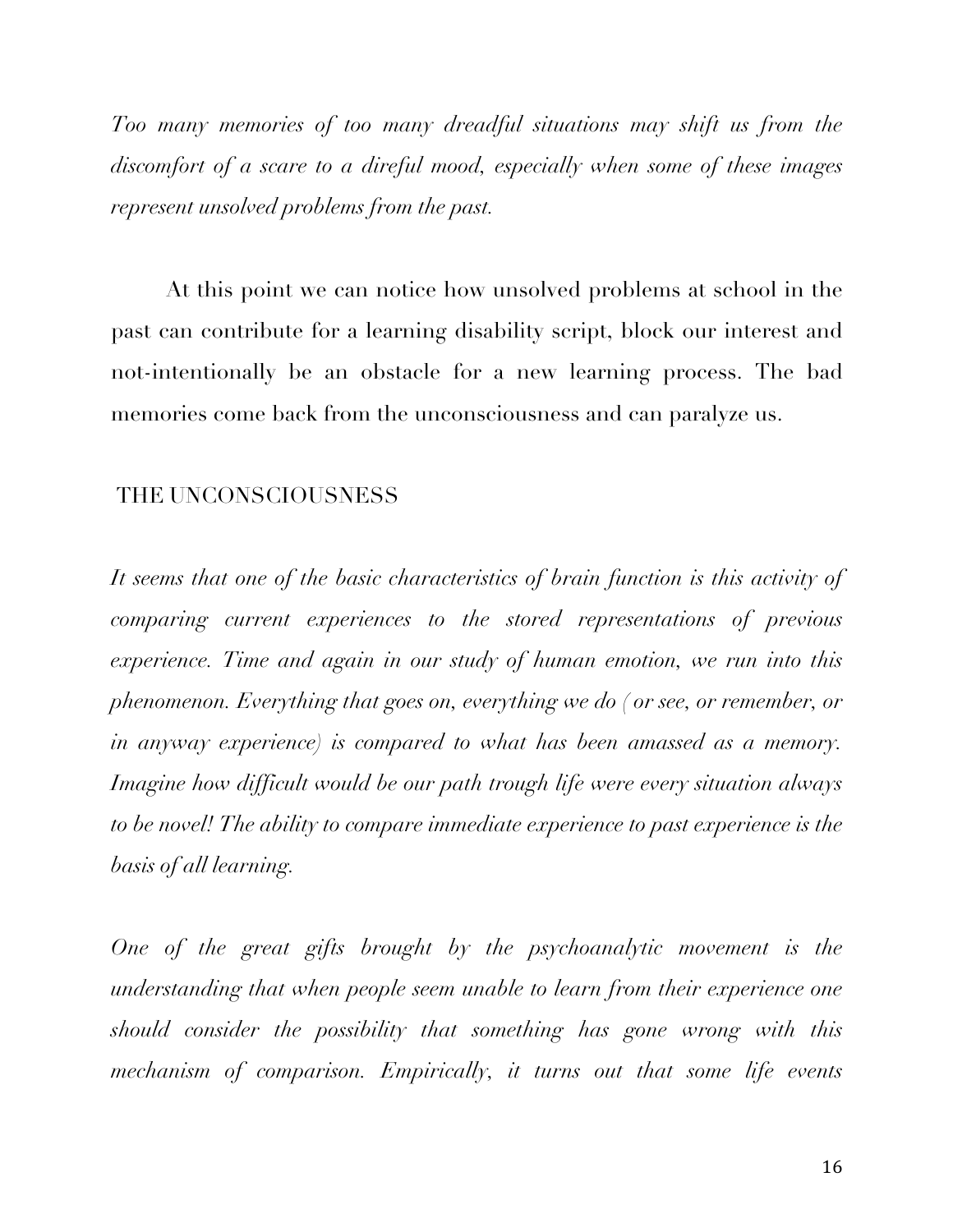*Too many memories of too many dreadful situations may shift us from the discomfort of a scare to a direful mood, especially when some of these images represent unsolved problems from the past.*

At this point we can notice how unsolved problems at school in the past can contribute for a learning disability script, block our interest and not-intentionally be an obstacle for a new learning process. The bad memories come back from the unconsciousness and can paralyze us.

#### THE UNCONSCIOUSNESS

*It seems that one of the basic characteristics of brain function is this activity of comparing current experiences to the stored representations of previous experience. Time and again in our study of human emotion, we run into this phenomenon. Everything that goes on, everything we do ( or see, or remember, or in anyway experience) is compared to what has been amassed as a memory. Imagine how difficult would be our path trough life were every situation always to be novel! The ability to compare immediate experience to past experience is the basis of all learning.*

*One of the great gifts brought by the psychoanalytic movement is the understanding that when people seem unable to learn from their experience one should consider the possibility that something has gone wrong with this mechanism of comparison. Empirically, it turns out that some life events*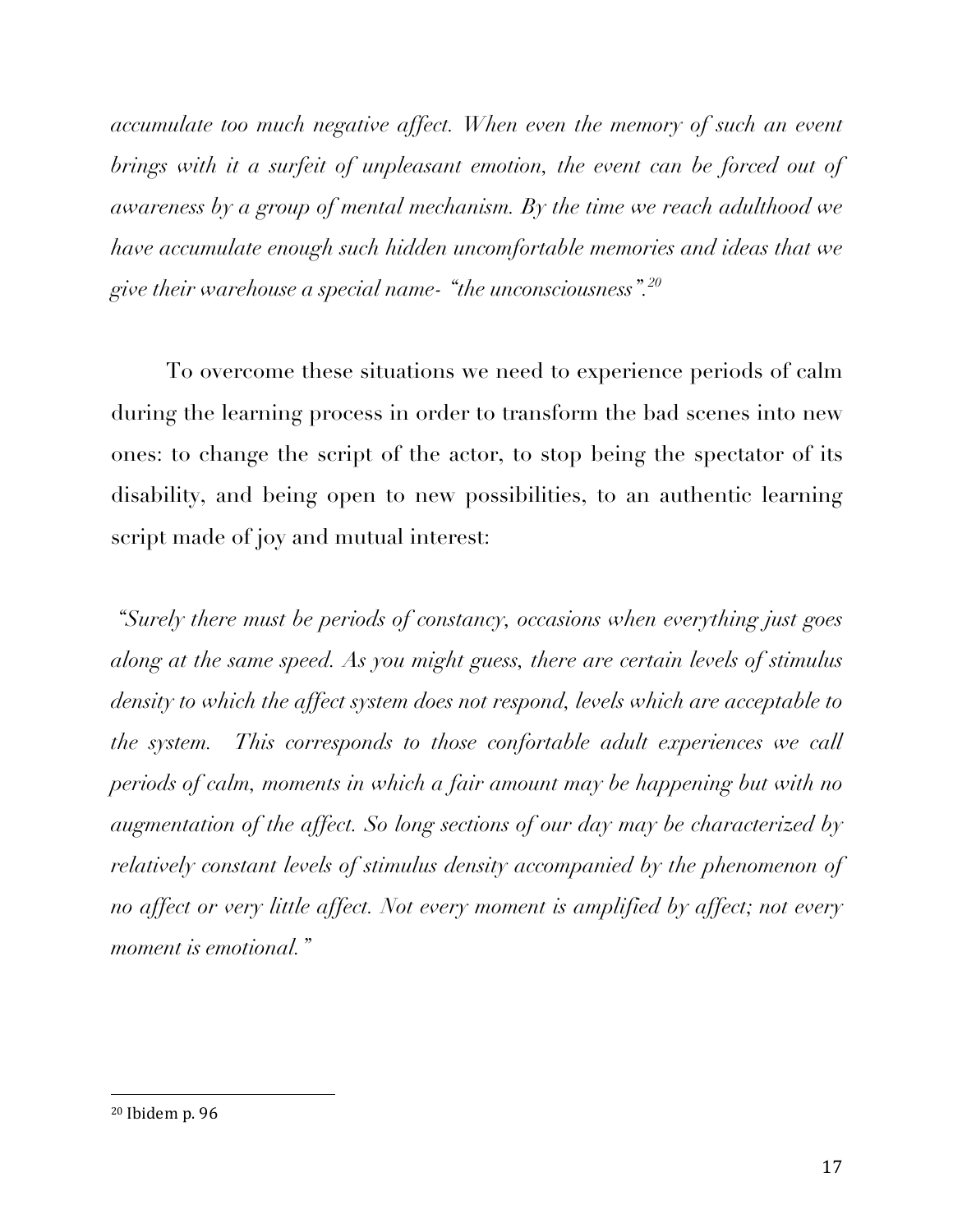*accumulate too much negative affect. When even the memory of such an event brings with it a surfeit of unpleasant emotion, the event can be forced out of awareness by a group of mental mechanism. By the time we reach adulthood we have accumulate enough such hidden uncomfortable memories and ideas that we give their warehouse a special name- "the unconsciousness".20*

To overcome these situations we need to experience periods of calm during the learning process in order to transform the bad scenes into new ones: to change the script of the actor, to stop being the spectator of its disability, and being open to new possibilities, to an authentic learning script made of joy and mutual interest:

*"Surely there must be periods of constancy, occasions when everything just goes along at the same speed. As you might guess, there are certain levels of stimulus density to which the affect system does not respond, levels which are acceptable to the system. This corresponds to those confortable adult experiences we call periods of calm, moments in which a fair amount may be happening but with no augmentation of the affect. So long sections of our day may be characterized by relatively constant levels of stimulus density accompanied by the phenomenon of no affect or very little affect. Not every moment is amplified by affect; not every moment is emotional."*

<sup>&</sup>lt;sup>20</sup> Ibidem p. 96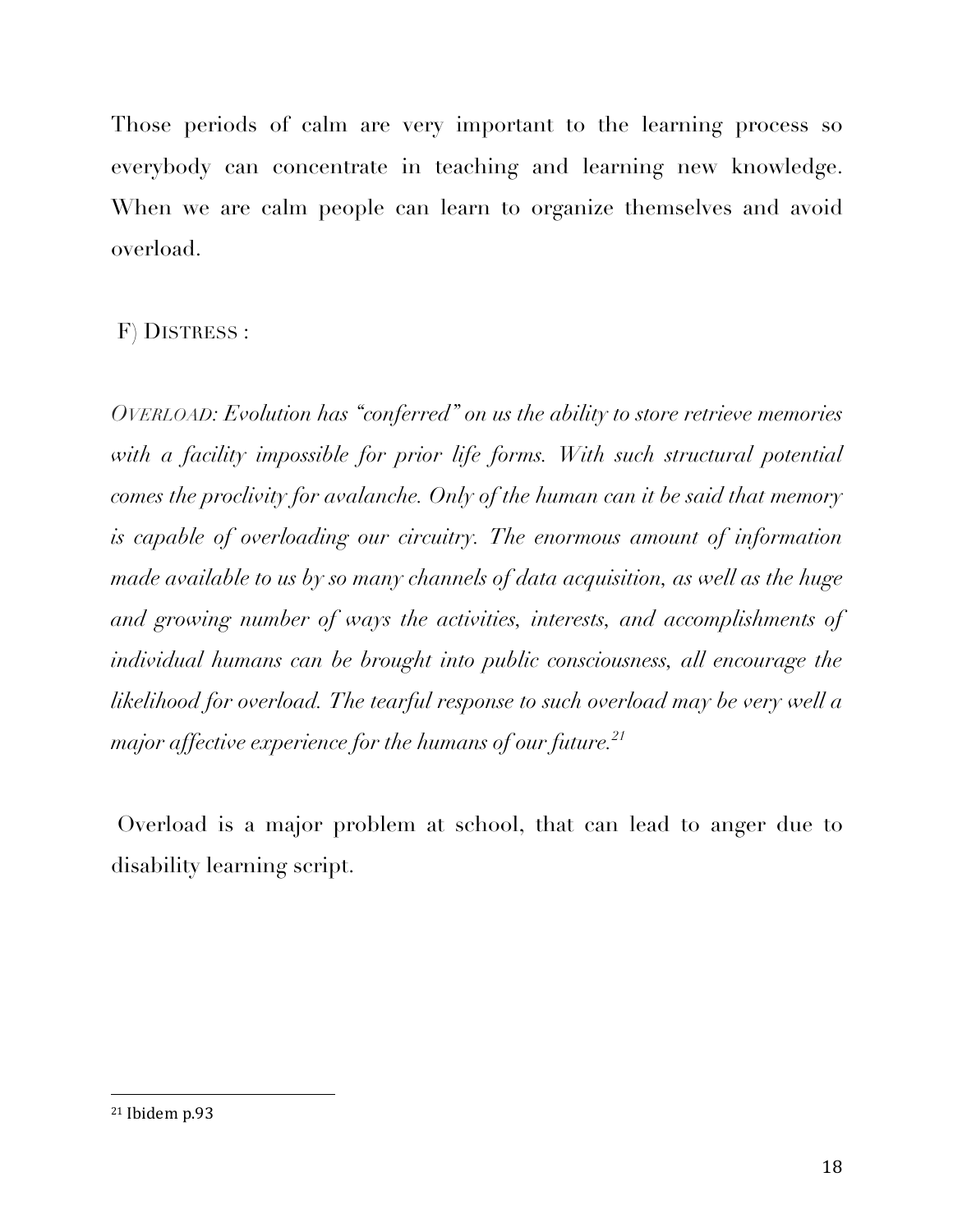Those periods of calm are very important to the learning process so everybody can concentrate in teaching and learning new knowledge. When we are calm people can learn to organize themselves and avoid overload.

# F) DISTRESS :

*OVERLOAD: Evolution has "conferred" on us the ability to store retrieve memories*  with a facility impossible for prior life forms. With such structural potential *comes the proclivity for avalanche. Only of the human can it be said that memory is capable of overloading our circuitry. The enormous amount of information made available to us by so many channels of data acquisition, as well as the huge and growing number of ways the activities, interests, and accomplishments of individual humans can be brought into public consciousness, all encourage the likelihood for overload. The tearful response to such overload may be very well a major affective experience for the humans of our future.21*

Overload is a major problem at school, that can lead to anger due to disability learning script.

 $21$  Ibidem p.93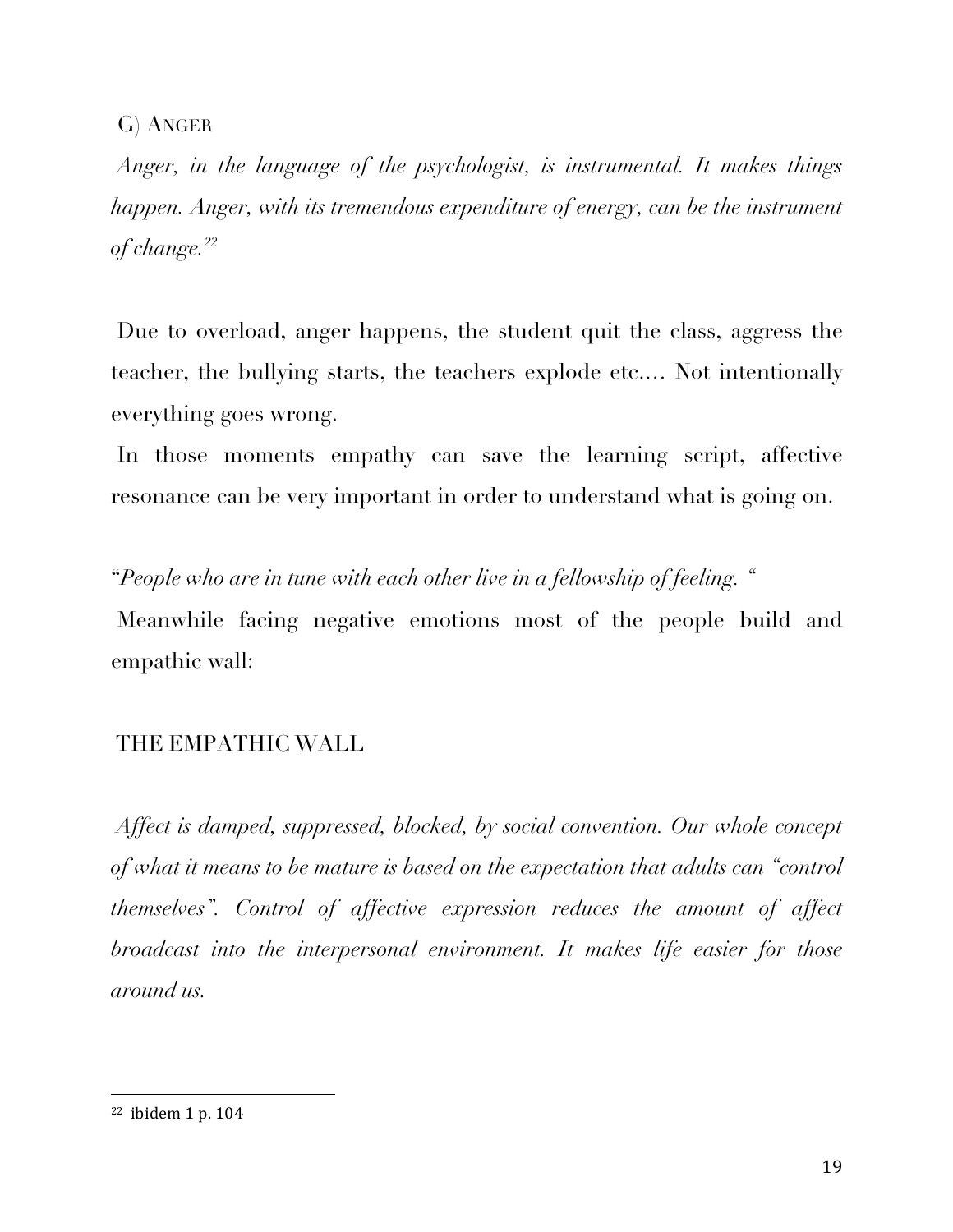### G) ANGER

*Anger, in the language of the psychologist, is instrumental. It makes things happen. Anger, with its tremendous expenditure of energy, can be the instrument of change.22*

Due to overload, anger happens, the student quit the class, aggress the teacher, the bullying starts, the teachers explode etc.… Not intentionally everything goes wrong.

In those moments empathy can save the learning script, affective resonance can be very important in order to understand what is going on.

"*People who are in tune with each other live in a fellowship of feeling. "*

Meanwhile facing negative emotions most of the people build and empathic wall:

### THE EMPATHIC WALL

*Affect is damped, suppressed, blocked, by social convention. Our whole concept of what it means to be mature is based on the expectation that adults can "control themselves". Control of affective expression reduces the amount of affect broadcast into the interpersonal environment. It makes life easier for those around us.*

 $22$  ibidem 1 p. 104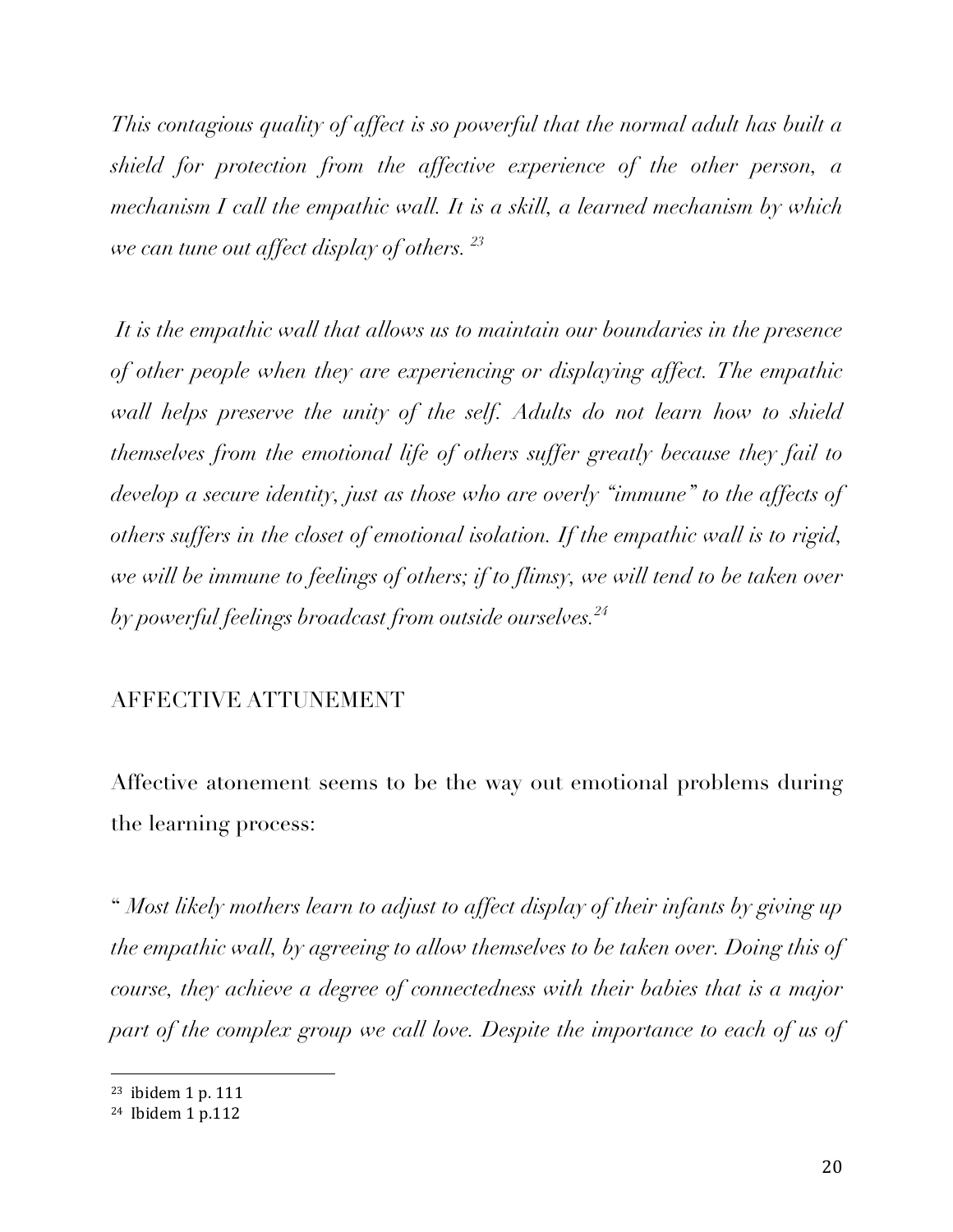*This contagious quality of affect is so powerful that the normal adult has built a shield for protection from the affective experience of the other person, a mechanism I call the empathic wall. It is a skill, a learned mechanism by which we can tune out affect display of others. 23*

*It is the empathic wall that allows us to maintain our boundaries in the presence of other people when they are experiencing or displaying affect. The empathic*  wall helps preserve the unity of the self. Adults do not learn how to shield *themselves from the emotional life of others suffer greatly because they fail to develop a secure identity, just as those who are overly "immune" to the affects of others suffers in the closet of emotional isolation. If the empathic wall is to rigid, we will be immune to feelings of others; if to flimsy, we will tend to be taken over by powerful feelings broadcast from outside ourselves.24*

### AFFECTIVE ATTUNEMENT

Affective atonement seems to be the way out emotional problems during the learning process:

" *Most likely mothers learn to adjust to affect display of their infants by giving up the empathic wall, by agreeing to allow themselves to be taken over. Doing this of course, they achieve a degree of connectedness with their babies that is a major part of the complex group we call love. Despite the importance to each of us of* 

<sup>&</sup>lt;sup>23</sup> ibidem 1 p. 111

<sup>&</sup>lt;sup>24</sup> Ibidem 1 p.112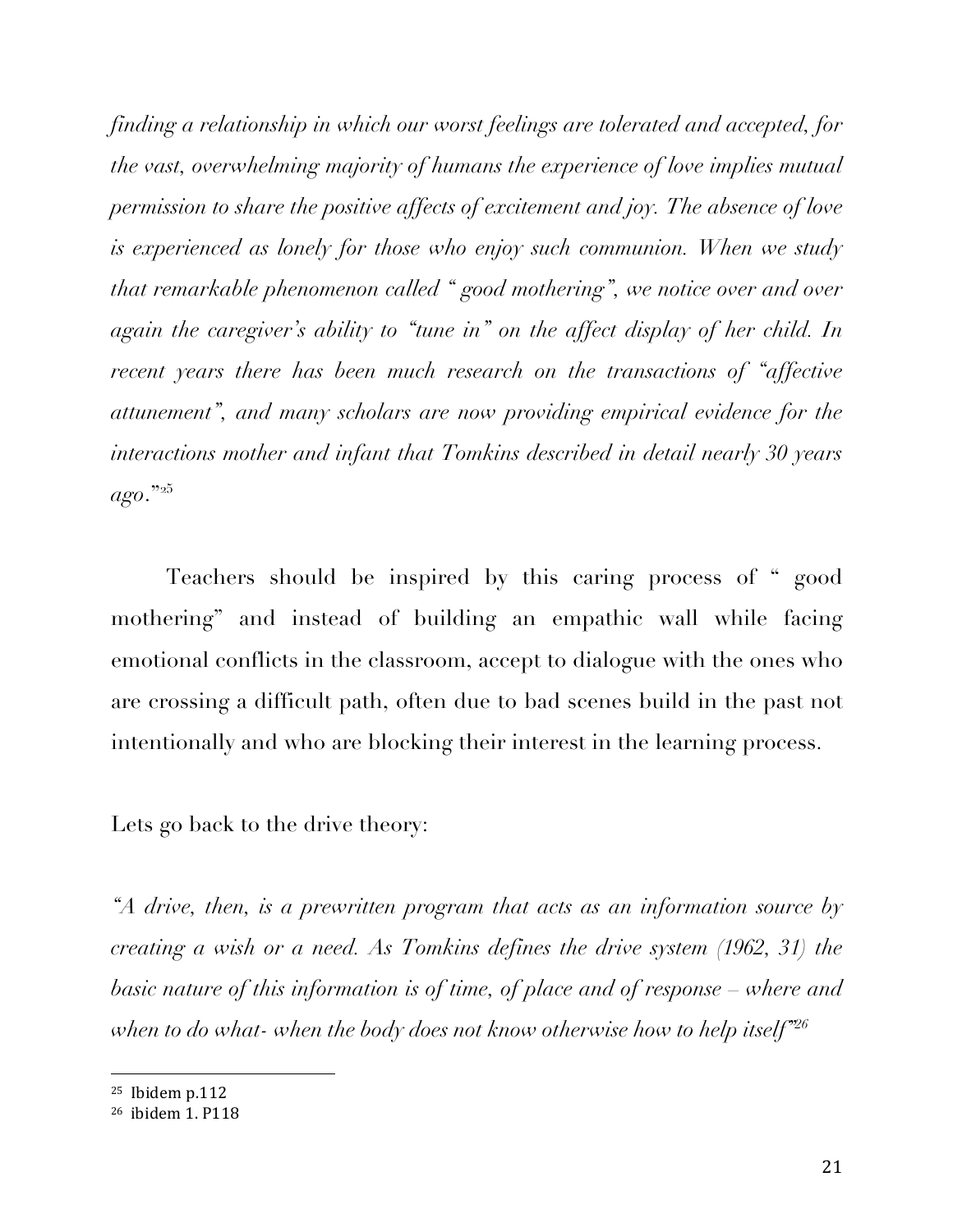*finding a relationship in which our worst feelings are tolerated and accepted, for the vast, overwhelming majority of humans the experience of love implies mutual permission to share the positive affects of excitement and joy. The absence of love is experienced as lonely for those who enjoy such communion. When we study that remarkable phenomenon called " good mothering", we notice over and over again the caregiver's ability to "tune in" on the affect display of her child. In recent years there has been much research on the transactions of "affective*" *attunement", and many scholars are now providing empirical evidence for the interactions mother and infant that Tomkins described in detail nearly 30 years ago*."<sup>25</sup>

Teachers should be inspired by this caring process of " good mothering" and instead of building an empathic wall while facing emotional conflicts in the classroom, accept to dialogue with the ones who are crossing a difficult path, often due to bad scenes build in the past not intentionally and who are blocking their interest in the learning process.

Lets go back to the drive theory:

*"A drive, then, is a prewritten program that acts as an information source by creating a wish or a need. As Tomkins defines the drive system (1962, 31) the basic nature of this information is of time, of place and of response – where and when to do what- when the body does not know otherwise how to help itself"26*

 $25$  Ibidem p.112

<sup>&</sup>lt;sup>26</sup> ibidem 1. P118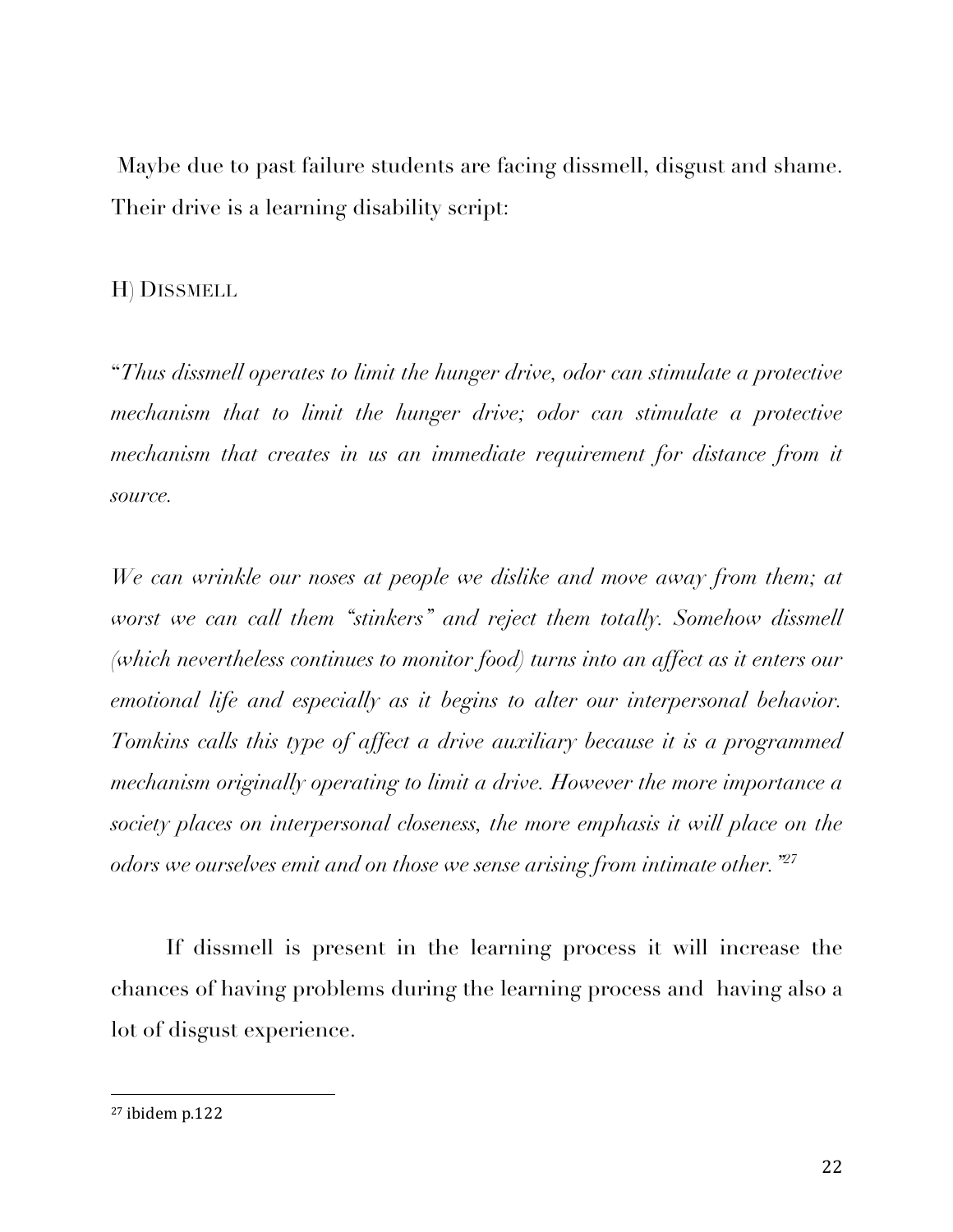Maybe due to past failure students are facing dissmell, disgust and shame. Their drive is a learning disability script:

### H) DISSMELL

"*Thus dissmell operates to limit the hunger drive, odor can stimulate a protective mechanism that to limit the hunger drive; odor can stimulate a protective mechanism that creates in us an immediate requirement for distance from it source.*

*We can wrinkle our noses at people we dislike and move away from them; at*  worst we can call them "stinkers" and reject them totally. Somehow dissmell *(which nevertheless continues to monitor food) turns into an affect as it enters our emotional life and especially as it begins to alter our interpersonal behavior. Tomkins calls this type of affect a drive auxiliary because it is a programmed mechanism originally operating to limit a drive. However the more importance a society places on interpersonal closeness, the more emphasis it will place on the odors we ourselves emit and on those we sense arising from intimate other."27*

If dissmell is present in the learning process it will increase the chances of having problems during the learning process and having also a lot of disgust experience.

 $27$  ibidem p.122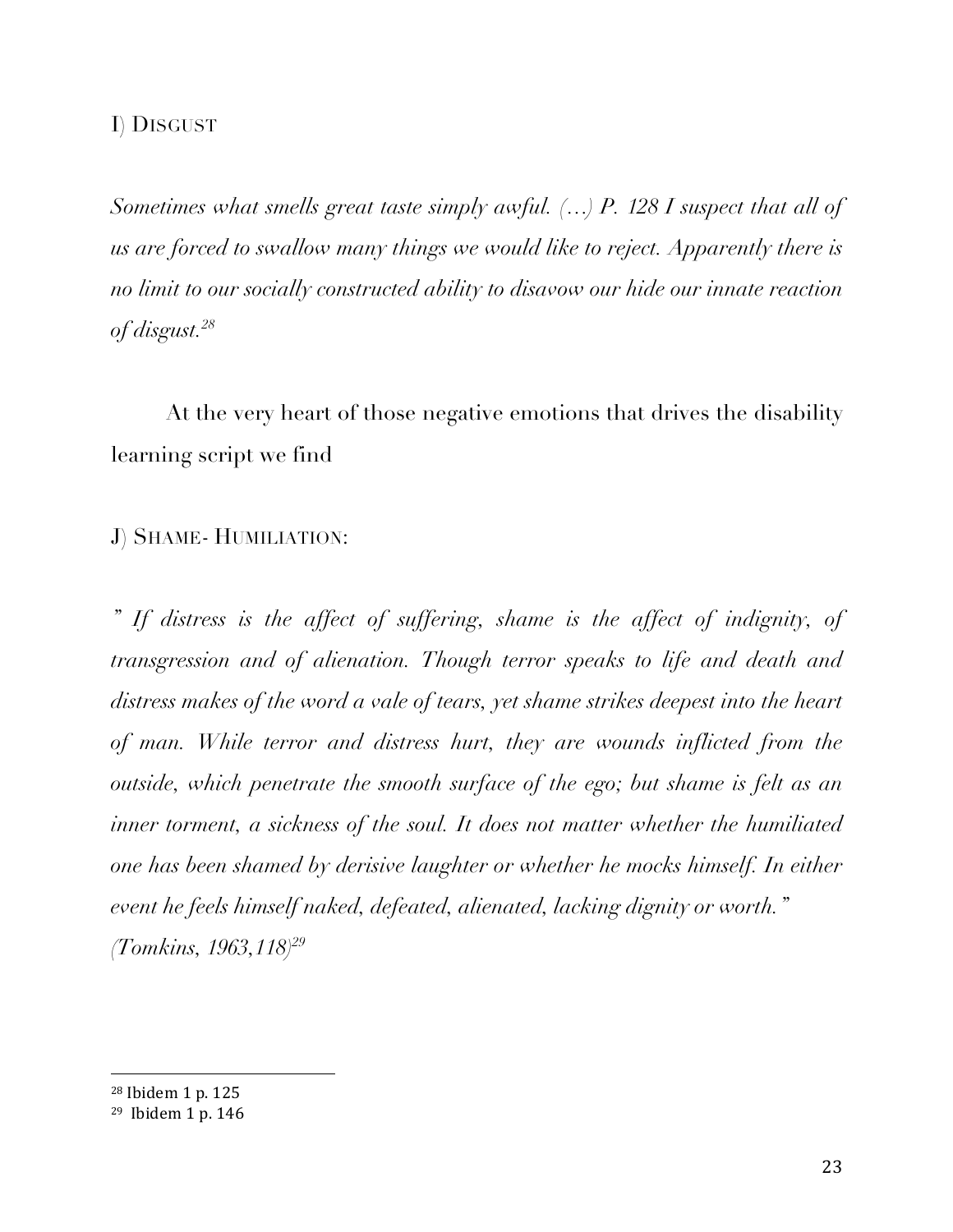### I) DISGUST

*Sometimes what smells great taste simply awful. (…) P. 128 I suspect that all of us are forced to swallow many things we would like to reject. Apparently there is no limit to our socially constructed ability to disavow our hide our innate reaction of disgust.28*

At the very heart of those negative emotions that drives the disability learning script we find

### J) SHAME- HUMILIATION:

*" If distress is the affect of suffering, shame is the affect of indignity, of transgression and of alienation. Though terror speaks to life and death and distress makes of the word a vale of tears, yet shame strikes deepest into the heart of man. While terror and distress hurt, they are wounds inflicted from the outside, which penetrate the smooth surface of the ego; but shame is felt as an inner torment, a sickness of the soul. It does not matter whether the humiliated*  one has been shamed by derisive laughter or whether he mocks himself. In either *event he feels himself naked, defeated, alienated, lacking dignity or worth." (Tomkins, 1963,118)29*

<sup>&</sup>lt;sup>28</sup> Ibidem 1 p. 125

<sup>&</sup>lt;sup>29</sup> Ibidem 1 p. 146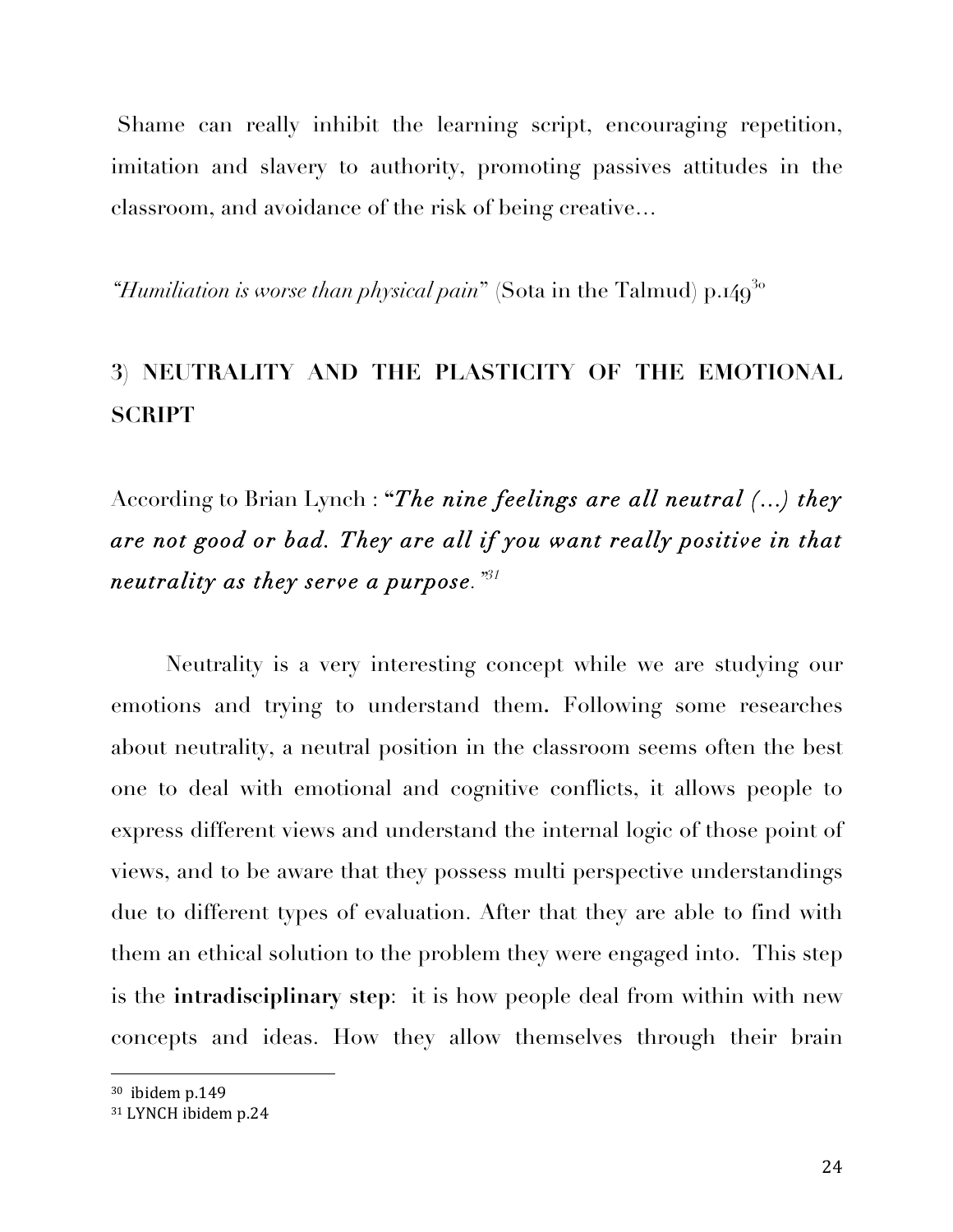Shame can really inhibit the learning script, encouraging repetition, imitation and slavery to authority, promoting passives attitudes in the classroom, and avoidance of the risk of being creative…

*"Humiliation is worse than physical pain"* (Sota in the Talmud) p.149<sup>30</sup>

# **3) NEUTRALITY AND THE PLASTICITY OF THE EMOTIONAL SCRIPT**

# According to Brian Lynch : **"***The nine feelings are all neutral (…) they are not good or bad. They are all if you want really positive in that neutrality as they serve a purpose."31*

Neutrality is a very interesting concept while we are studying our emotions and trying to understand them**.** Following some researches about neutrality, a neutral position in the classroom seems often the best one to deal with emotional and cognitive conflicts, it allows people to express different views and understand the internal logic of those point of views, and to be aware that they possess multi perspective understandings due to different types of evaluation. After that they are able to find with them an ethical solution to the problem they were engaged into. This step is the **intradisciplinary step**: it is how people deal from within with new concepts and ideas. How they allow themselves through their brain

<sup>&</sup>lt;sup>30</sup> ibidem p.149

<sup>&</sup>lt;sup>31</sup> LYNCH ibidem p.24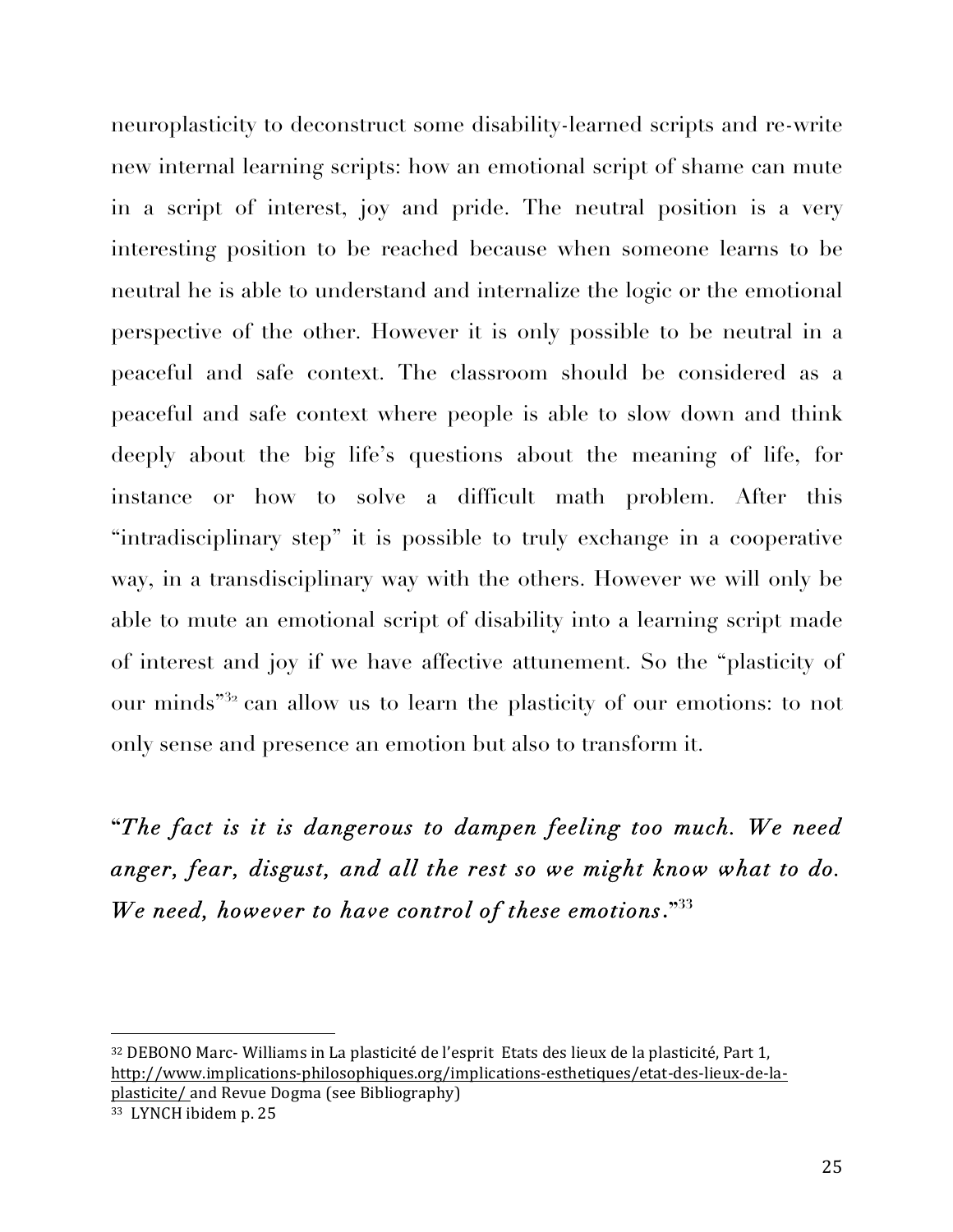neuroplasticity to deconstruct some disability-learned scripts and re-write new internal learning scripts: how an emotional script of shame can mute in a script of interest, joy and pride. The neutral position is a very interesting position to be reached because when someone learns to be neutral he is able to understand and internalize the logic or the emotional perspective of the other. However it is only possible to be neutral in a peaceful and safe context. The classroom should be considered as a peaceful and safe context where people is able to slow down and think deeply about the big life's questions about the meaning of life, for instance or how to solve a difficult math problem. After this "intradisciplinary step" it is possible to truly exchange in a cooperative way, in a transdisciplinary way with the others. However we will only be able to mute an emotional script of disability into a learning script made of interest and joy if we have affective attunement. So the "plasticity of our minds"<sup>32</sup> can allow us to learn the plasticity of our emotions: to not only sense and presence an emotion but also to transform it.

**"***The fact is it is dangerous to dampen feeling too much. We need anger, fear, disgust, and all the rest so we might know what to do. We need, however to have control of these emotions***."33**

<sup>32</sup> DEBONO Marc- Williams in La plasticité de l'esprit Etats des lieux de la plasticité, Part 1, http://www.implications-philosophiques.org/implications-esthetiques/etat-des-lieux-de-laplasticite/ and Revue Dogma (see Bibliography)

<sup>&</sup>lt;sup>33</sup> LYNCH ibidem p. 25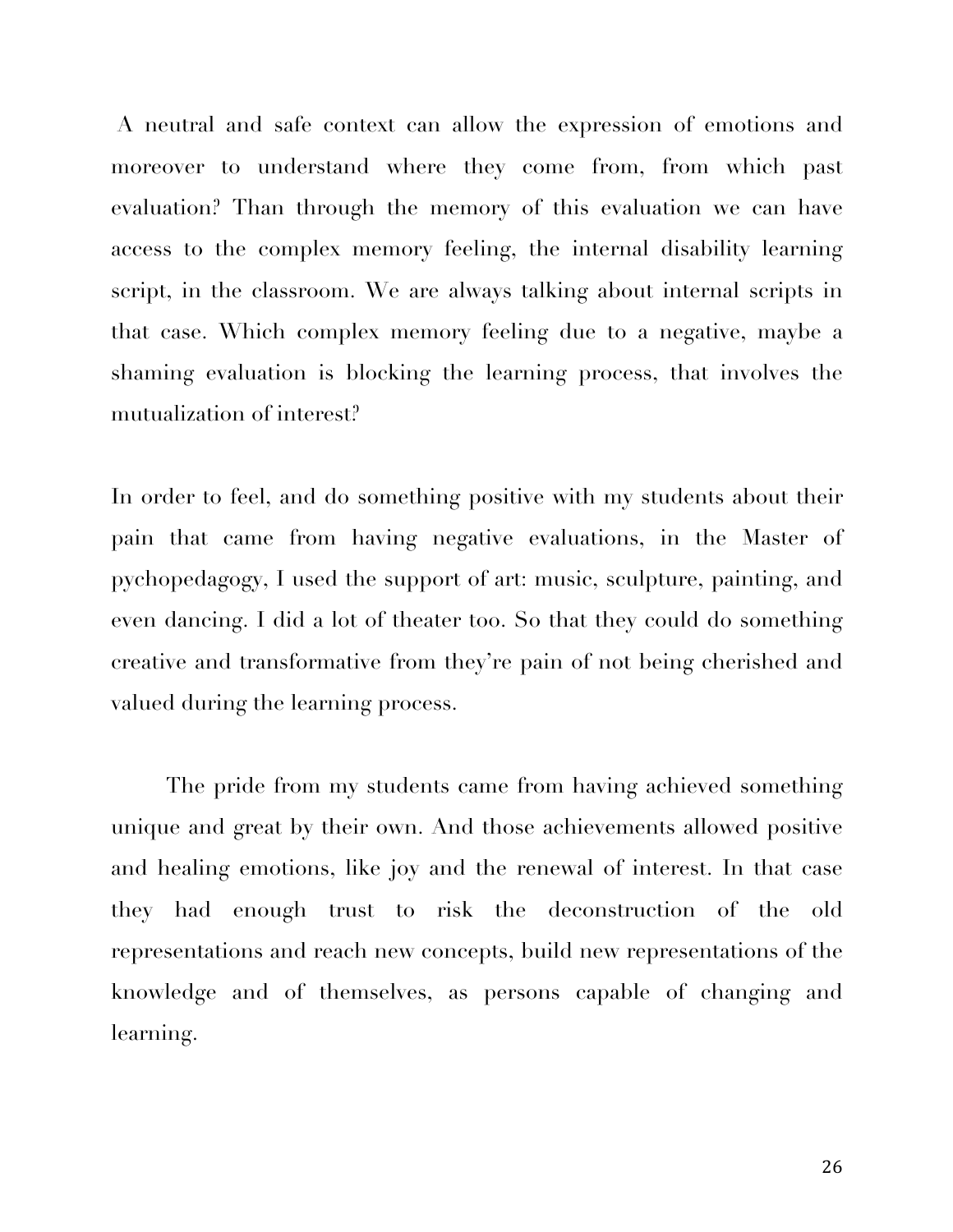A neutral and safe context can allow the expression of emotions and moreover to understand where they come from, from which past evaluation? Than through the memory of this evaluation we can have access to the complex memory feeling, the internal disability learning script, in the classroom. We are always talking about internal scripts in that case. Which complex memory feeling due to a negative, maybe a shaming evaluation is blocking the learning process, that involves the mutualization of interest?

In order to feel, and do something positive with my students about their pain that came from having negative evaluations, in the Master of pychopedagogy, I used the support of art: music, sculpture, painting, and even dancing. I did a lot of theater too. So that they could do something creative and transformative from they're pain of not being cherished and valued during the learning process.

The pride from my students came from having achieved something unique and great by their own. And those achievements allowed positive and healing emotions, like joy and the renewal of interest. In that case they had enough trust to risk the deconstruction of the old representations and reach new concepts, build new representations of the knowledge and of themselves, as persons capable of changing and learning.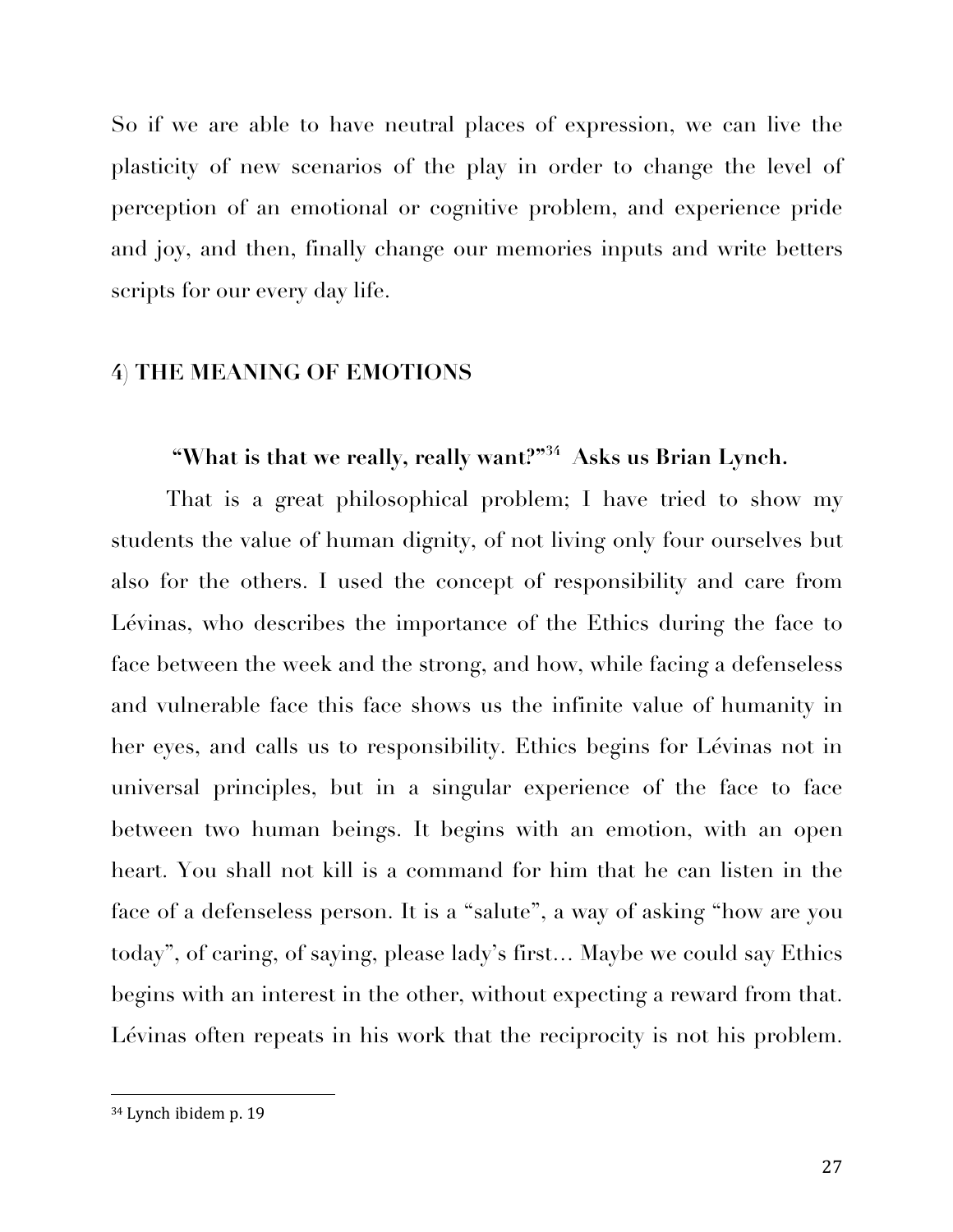So if we are able to have neutral places of expression, we can live the plasticity of new scenarios of the play in order to change the level of perception of an emotional or cognitive problem, and experience pride and joy, and then, finally change our memories inputs and write betters scripts for our every day life.

### **4) THE MEANING OF EMOTIONS**

**"What is that we really, really want?"34 Asks us Brian Lynch.**

That is a great philosophical problem; I have tried to show my students the value of human dignity, of not living only four ourselves but also for the others. I used the concept of responsibility and care from Lévinas, who describes the importance of the Ethics during the face to face between the week and the strong, and how, while facing a defenseless and vulnerable face this face shows us the infinite value of humanity in her eyes, and calls us to responsibility. Ethics begins for Lévinas not in universal principles, but in a singular experience of the face to face between two human beings. It begins with an emotion, with an open heart. You shall not kill is a command for him that he can listen in the face of a defenseless person. It is a "salute", a way of asking "how are you today", of caring, of saying, please lady's first… Maybe we could say Ethics begins with an interest in the other, without expecting a reward from that. Lévinas often repeats in his work that the reciprocity is not his problem.

<sup>&</sup>lt;sup>34</sup> Lynch ibidem p. 19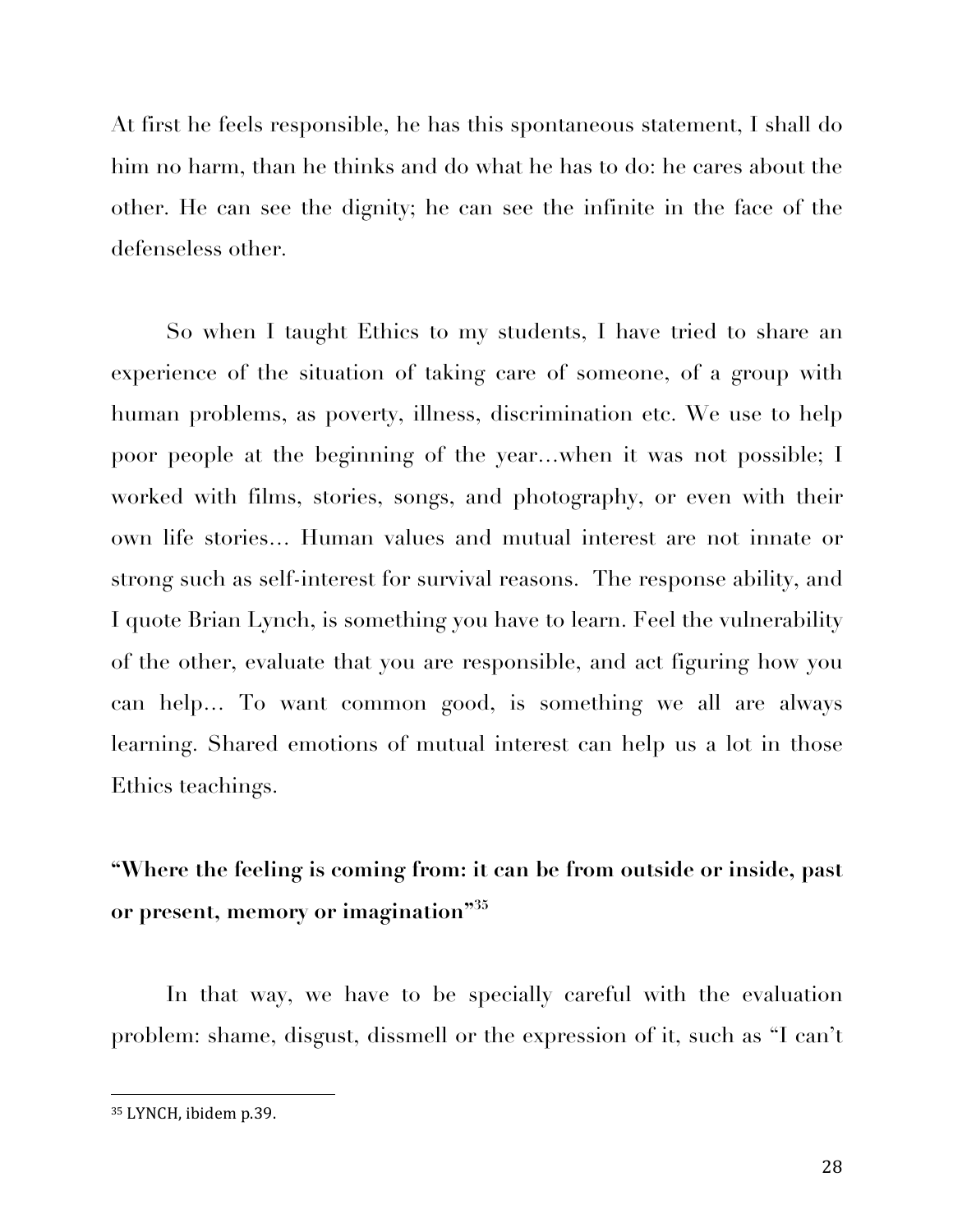At first he feels responsible, he has this spontaneous statement, I shall do him no harm, than he thinks and do what he has to do: he cares about the other. He can see the dignity; he can see the infinite in the face of the defenseless other.

So when I taught Ethics to my students, I have tried to share an experience of the situation of taking care of someone, of a group with human problems, as poverty, illness, discrimination etc. We use to help poor people at the beginning of the year…when it was not possible; I worked with films, stories, songs, and photography, or even with their own life stories… Human values and mutual interest are not innate or strong such as self-interest for survival reasons. The response ability, and I quote Brian Lynch, is something you have to learn. Feel the vulnerability of the other, evaluate that you are responsible, and act figuring how you can help… To want common good, is something we all are always learning. Shared emotions of mutual interest can help us a lot in those Ethics teachings.

# **"Where the feeling is coming from: it can be from outside or inside, past or present, memory or imagination"35**

In that way, we have to be specially careful with the evaluation problem: shame, disgust, dissmell or the expression of it, such as "I can't

<sup>&</sup>lt;sup>35</sup> LYNCH, ibidem p.39.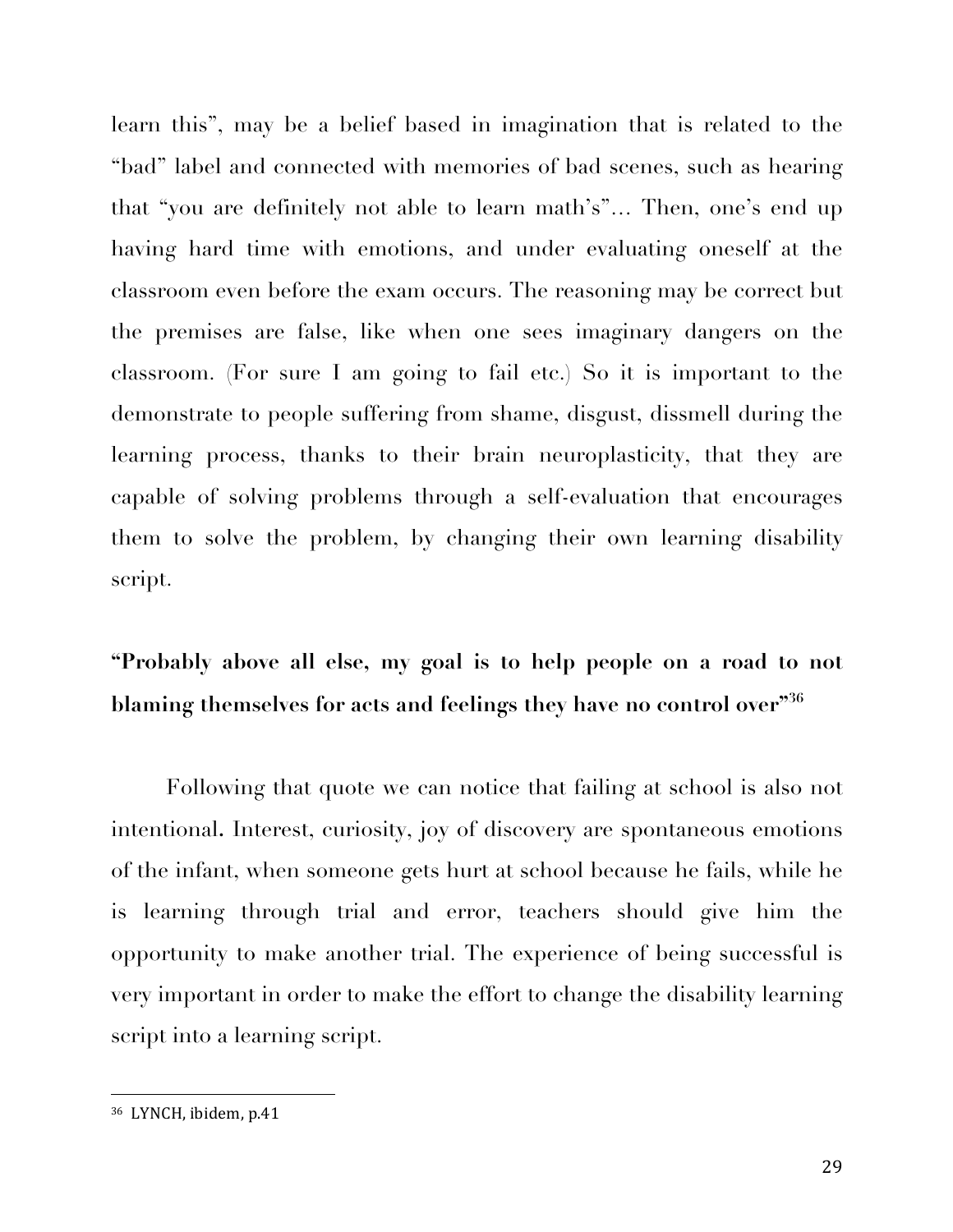learn this", may be a belief based in imagination that is related to the "bad" label and connected with memories of bad scenes, such as hearing that "you are definitely not able to learn math's"… Then, one's end up having hard time with emotions, and under evaluating oneself at the classroom even before the exam occurs. The reasoning may be correct but the premises are false, like when one sees imaginary dangers on the classroom. (For sure I am going to fail etc.) So it is important to the demonstrate to people suffering from shame, disgust, dissmell during the learning process, thanks to their brain neuroplasticity, that they are capable of solving problems through a self-evaluation that encourages them to solve the problem, by changing their own learning disability script.

# **"Probably above all else, my goal is to help people on a road to not blaming themselves for acts and feelings they have no control over"36**

Following that quote we can notice that failing at school is also not intentional**.** Interest, curiosity, joy of discovery are spontaneous emotions of the infant, when someone gets hurt at school because he fails, while he is learning through trial and error, teachers should give him the opportunity to make another trial. The experience of being successful is very important in order to make the effort to change the disability learning script into a learning script.

<sup>&</sup>lt;sup>36</sup> LYNCH, ibidem, p.41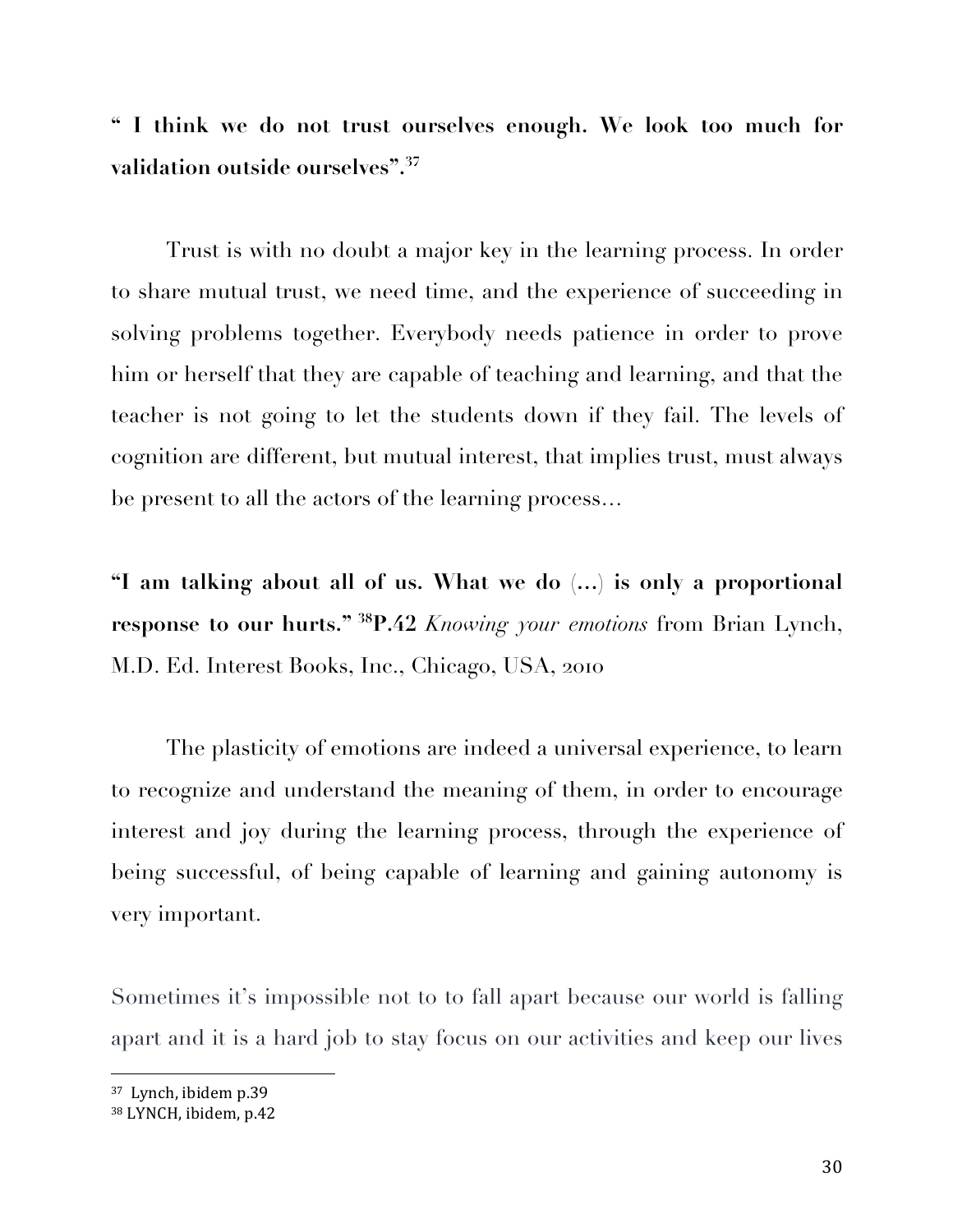**" I think we do not trust ourselves enough. We look too much for validation outside ourselves".37**

Trust is with no doubt a major key in the learning process. In order to share mutual trust, we need time, and the experience of succeeding in solving problems together. Everybody needs patience in order to prove him or herself that they are capable of teaching and learning, and that the teacher is not going to let the students down if they fail. The levels of cognition are different, but mutual interest, that implies trust, must always be present to all the actors of the learning process…

**"I am talking about all of us. What we do (…) is only a proportional response to our hurts." 38P.42** *Knowing your emotions* from Brian Lynch, M.D. Ed. Interest Books, Inc., Chicago, USA, 2010

The plasticity of emotions are indeed a universal experience, to learn to recognize and understand the meaning of them, in order to encourage interest and joy during the learning process, through the experience of being successful, of being capable of learning and gaining autonomy is very important.

Sometimes it's impossible not to to fall apart because our world is falling apart and it is a hard job to stay focus on our activities and keep our lives

<sup>&</sup>lt;sup>37</sup> Lynch, ibidem p.39

<sup>38</sup> LYNCH, ibidem, p.42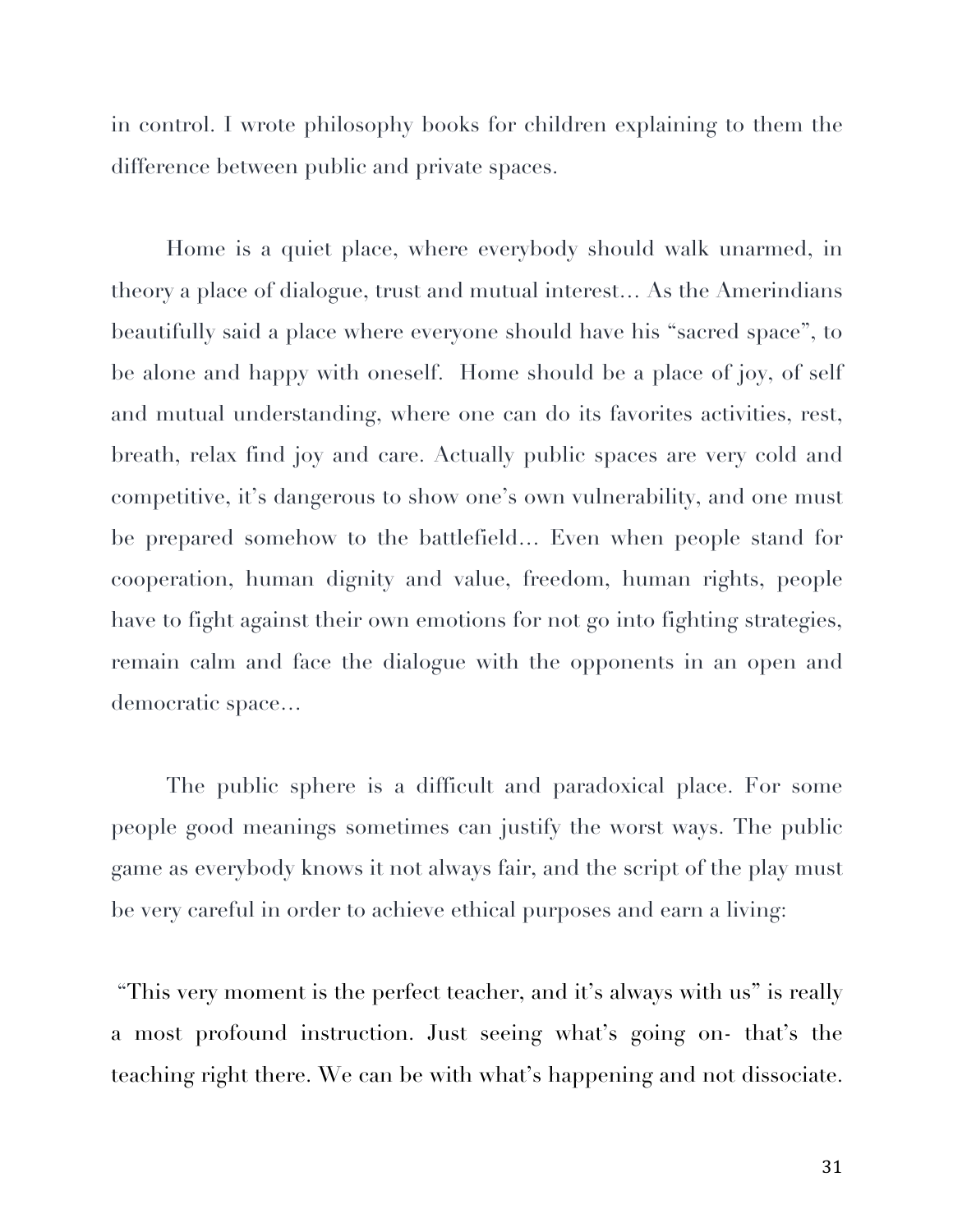in control. I wrote philosophy books for children explaining to them the difference between public and private spaces.

Home is a quiet place, where everybody should walk unarmed, in theory a place of dialogue, trust and mutual interest… As the Amerindians beautifully said a place where everyone should have his "sacred space", to be alone and happy with oneself. Home should be a place of joy, of self and mutual understanding, where one can do its favorites activities, rest, breath, relax find joy and care. Actually public spaces are very cold and competitive, it's dangerous to show one's own vulnerability, and one must be prepared somehow to the battlefield… Even when people stand for cooperation, human dignity and value, freedom, human rights, people have to fight against their own emotions for not go into fighting strategies, remain calm and face the dialogue with the opponents in an open and democratic space…

The public sphere is a difficult and paradoxical place. For some people good meanings sometimes can justify the worst ways. The public game as everybody knows it not always fair, and the script of the play must be very careful in order to achieve ethical purposes and earn a living:

"This very moment is the perfect teacher, and it's always with us" is really a most profound instruction. Just seeing what's going on- that's the teaching right there. We can be with what's happening and not dissociate.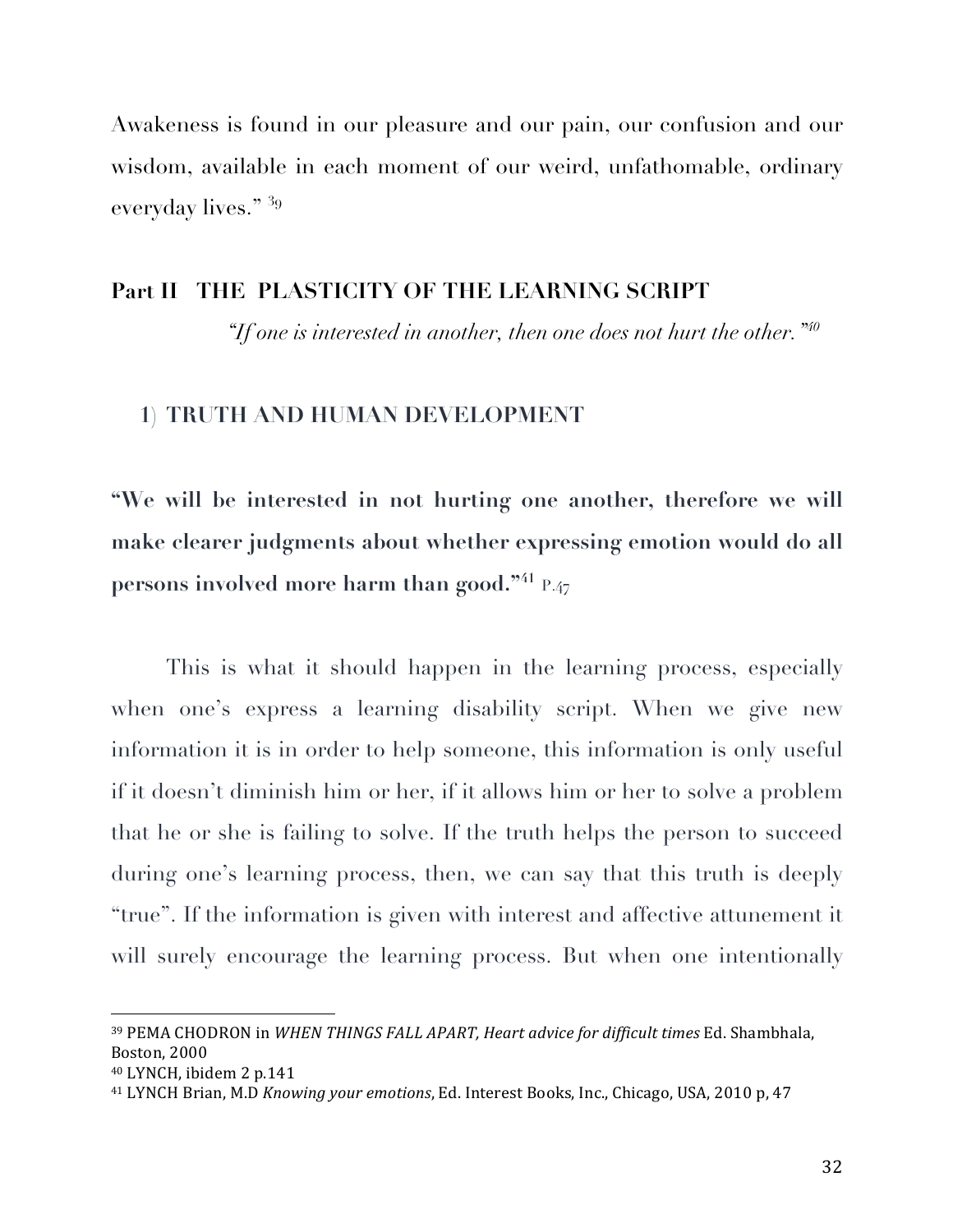Awakeness is found in our pleasure and our pain, our confusion and our wisdom, available in each moment of our weird, unfathomable, ordinary everyday lives." <sup>39</sup>

### **Part II THE PLASTICITY OF THE LEARNING SCRIPT**

*"If one is interested in another, then one does not hurt the other."40*

### **1) TRUTH AND HUMAN DEVELOPMENT**

**"We will be interested in not hurting one another, therefore we will make clearer judgments about whether expressing emotion would do all persons involved more harm than good."41** P.<sup>47</sup>

This is what it should happen in the learning process, especially when one's express a learning disability script. When we give new information it is in order to help someone, this information is only useful if it doesn't diminish him or her, if it allows him or her to solve a problem that he or she is failing to solve. If the truth helps the person to succeed during one's learning process, then, we can say that this truth is deeply "true". If the information is given with interest and affective attunement it will surely encourage the learning process. But when one intentionally

<sup>39</sup> PEMA CHODRON in WHEN THINGS FALL APART, Heart advice for difficult times Ed. Shambhala, Boston, 2000

<sup>&</sup>lt;sup>40</sup> LYNCH, ibidem 2 p.141

<sup>&</sup>lt;sup>41</sup> LYNCH Brian, M.D *Knowing your emotions*, Ed. Interest Books, Inc., Chicago, USA, 2010 p, 47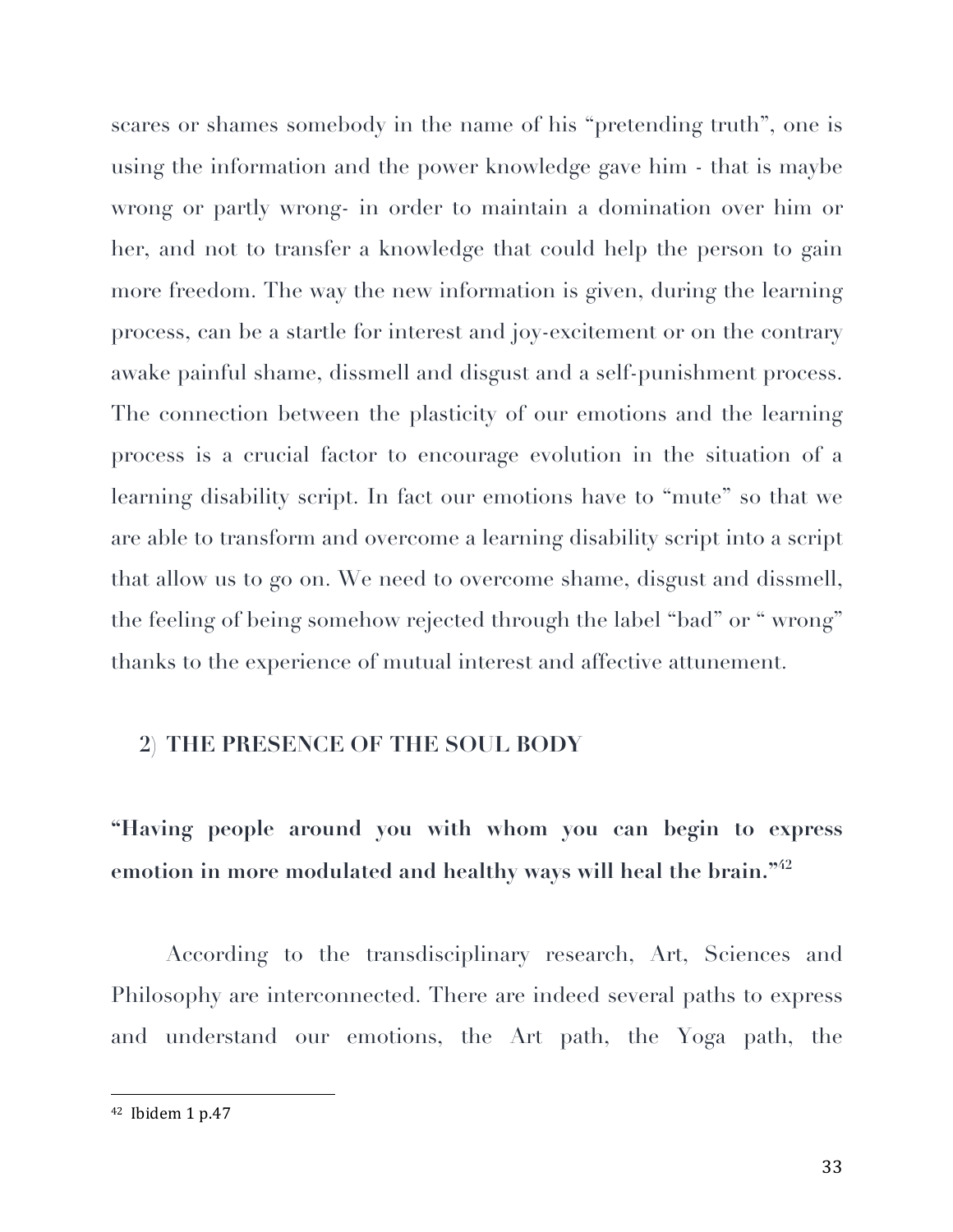scares or shames somebody in the name of his "pretending truth", one is using the information and the power knowledge gave him - that is maybe wrong or partly wrong- in order to maintain a domination over him or her, and not to transfer a knowledge that could help the person to gain more freedom. The way the new information is given, during the learning process, can be a startle for interest and joy-excitement or on the contrary awake painful shame, dissmell and disgust and a self-punishment process. The connection between the plasticity of our emotions and the learning process is a crucial factor to encourage evolution in the situation of a learning disability script. In fact our emotions have to "mute" so that we are able to transform and overcome a learning disability script into a script that allow us to go on. We need to overcome shame, disgust and dissmell, the feeling of being somehow rejected through the label "bad" or " wrong" thanks to the experience of mutual interest and affective attunement.

### **2) THE PRESENCE OF THE SOUL BODY**

**"Having people around you with whom you can begin to express emotion in more modulated and healthy ways will heal the brain."42**

According to the transdisciplinary research, Art, Sciences and Philosophy are interconnected. There are indeed several paths to express and understand our emotions, the Art path, the Yoga path, the

 $42$  Ibidem 1 p.47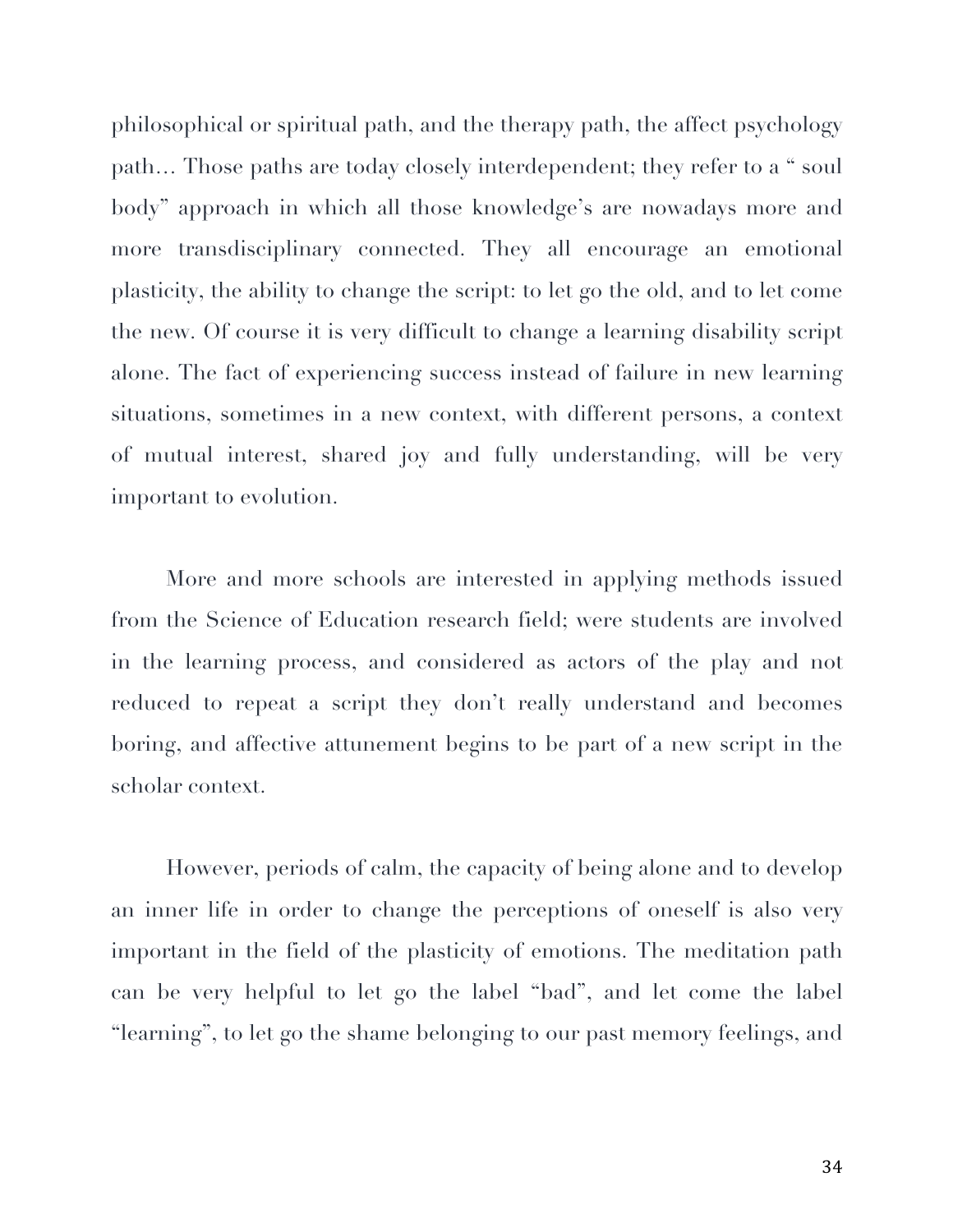philosophical or spiritual path, and the therapy path, the affect psychology path… Those paths are today closely interdependent; they refer to a " soul body" approach in which all those knowledge's are nowadays more and more transdisciplinary connected. They all encourage an emotional plasticity, the ability to change the script: to let go the old, and to let come the new. Of course it is very difficult to change a learning disability script alone. The fact of experiencing success instead of failure in new learning situations, sometimes in a new context, with different persons, a context of mutual interest, shared joy and fully understanding, will be very important to evolution.

More and more schools are interested in applying methods issued from the Science of Education research field; were students are involved in the learning process, and considered as actors of the play and not reduced to repeat a script they don't really understand and becomes boring, and affective attunement begins to be part of a new script in the scholar context.

However, periods of calm, the capacity of being alone and to develop an inner life in order to change the perceptions of oneself is also very important in the field of the plasticity of emotions. The meditation path can be very helpful to let go the label "bad", and let come the label "learning", to let go the shame belonging to our past memory feelings, and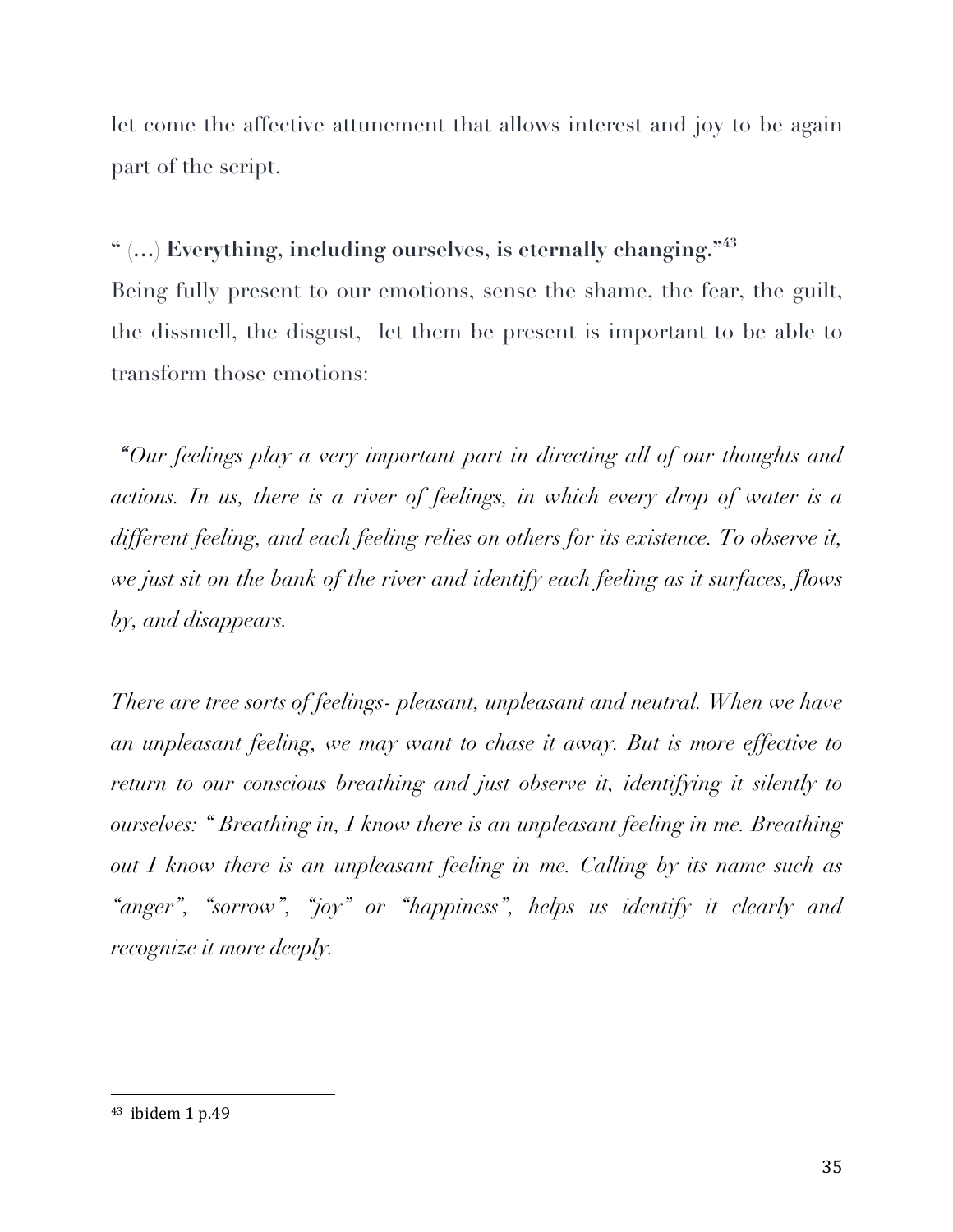let come the affective attunement that allows interest and joy to be again part of the script.

**" (…) Everything, including ourselves, is eternally changing."43**  Being fully present to our emotions, sense the shame, the fear, the guilt, the dissmell, the disgust, let them be present is important to be able to transform those emotions:

 *"Our feelings play a very important part in directing all of our thoughts and actions. In us, there is a river of feelings, in which every drop of water is a different feeling, and each feeling relies on others for its existence. To observe it, we just sit on the bank of the river and identify each feeling as it surfaces, flows by, and disappears.* 

*There are tree sorts of feelings- pleasant, unpleasant and neutral. When we have an unpleasant feeling, we may want to chase it away. But is more effective to return to our conscious breathing and just observe it, identifying it silently to ourselves:* "Breathing in, I know there is an unpleasant feeling in me. Breathing *out I know there is an unpleasant feeling in me. Calling by its name such as "anger", "sorrow", "joy" or "happiness", helps us identify it clearly and recognize it more deeply.*

 $43$  ibidem 1 p.49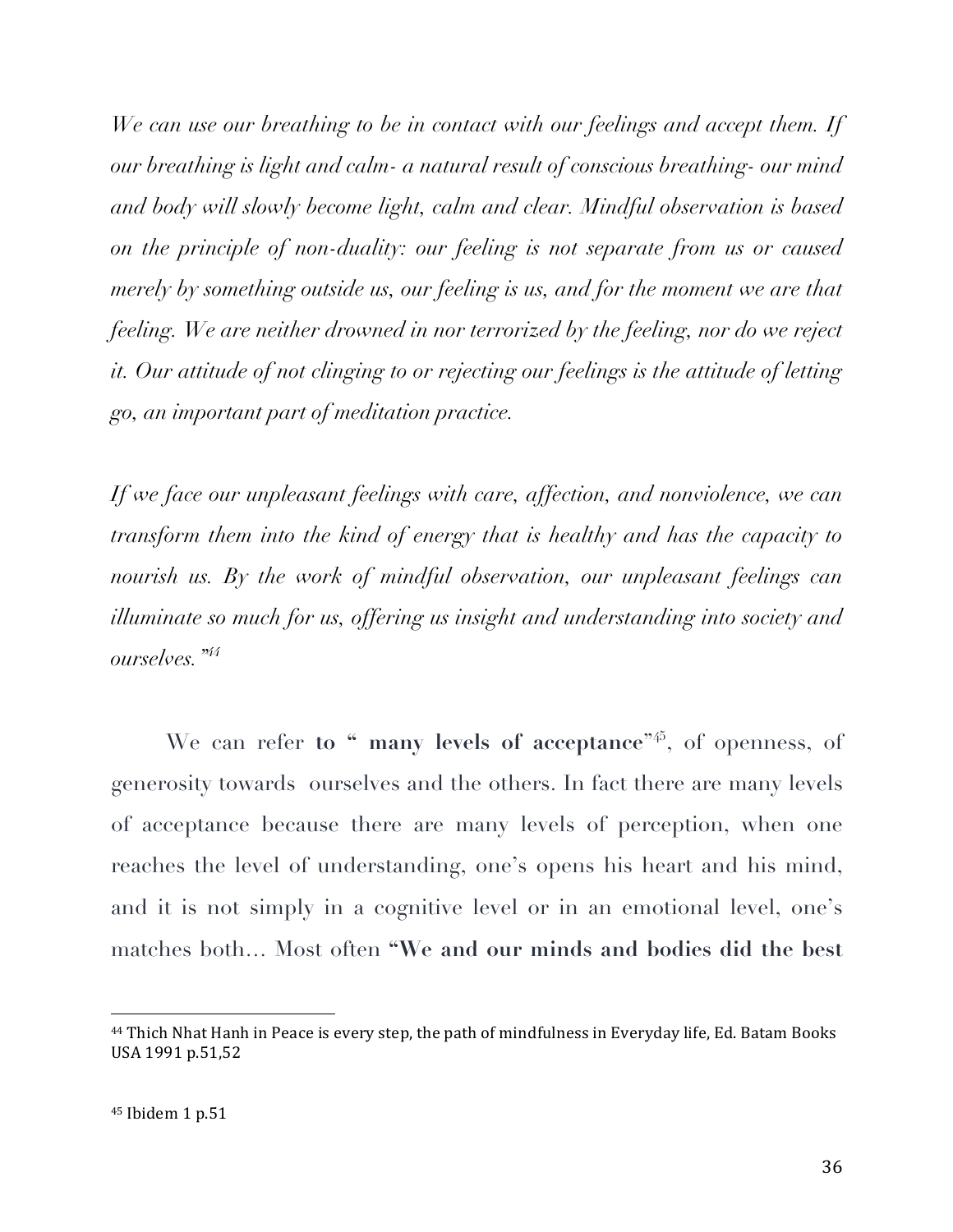We can use our breathing to be in contact with our feelings and accept them. If *our breathing is light and calm- a natural result of conscious breathing- our mind and body will slowly become light, calm and clear. Mindful observation is based on the principle of non-duality: our feeling is not separate from us or caused merely by something outside us, our feeling is us, and for the moment we are that feeling. We are neither drowned in nor terrorized by the feeling, nor do we reject it. Our attitude of not clinging to or rejecting our feelings is the attitude of letting go, an important part of meditation practice.*

*If we face our unpleasant feelings with care, affection, and nonviolence, we can transform them into the kind of energy that is healthy and has the capacity to nourish us. By the work of mindful observation, our unpleasant feelings can illuminate so much for us, offering us insight and understanding into society and ourselves."44*

We can refer **to " many levels of acceptance**"<sup>45</sup>, of openness, of generosity towards ourselves and the others. In fact there are many levels of acceptance because there are many levels of perception, when one reaches the level of understanding, one's opens his heart and his mind, and it is not simply in a cognitive level or in an emotional level, one's matches both… Most often **"We and our minds and bodies did the best** 

<sup>&</sup>lt;sup>44</sup> Thich Nhat Hanh in Peace is every step, the path of mindfulness in Everyday life, Ed. Batam Books USA 1991 p.51,52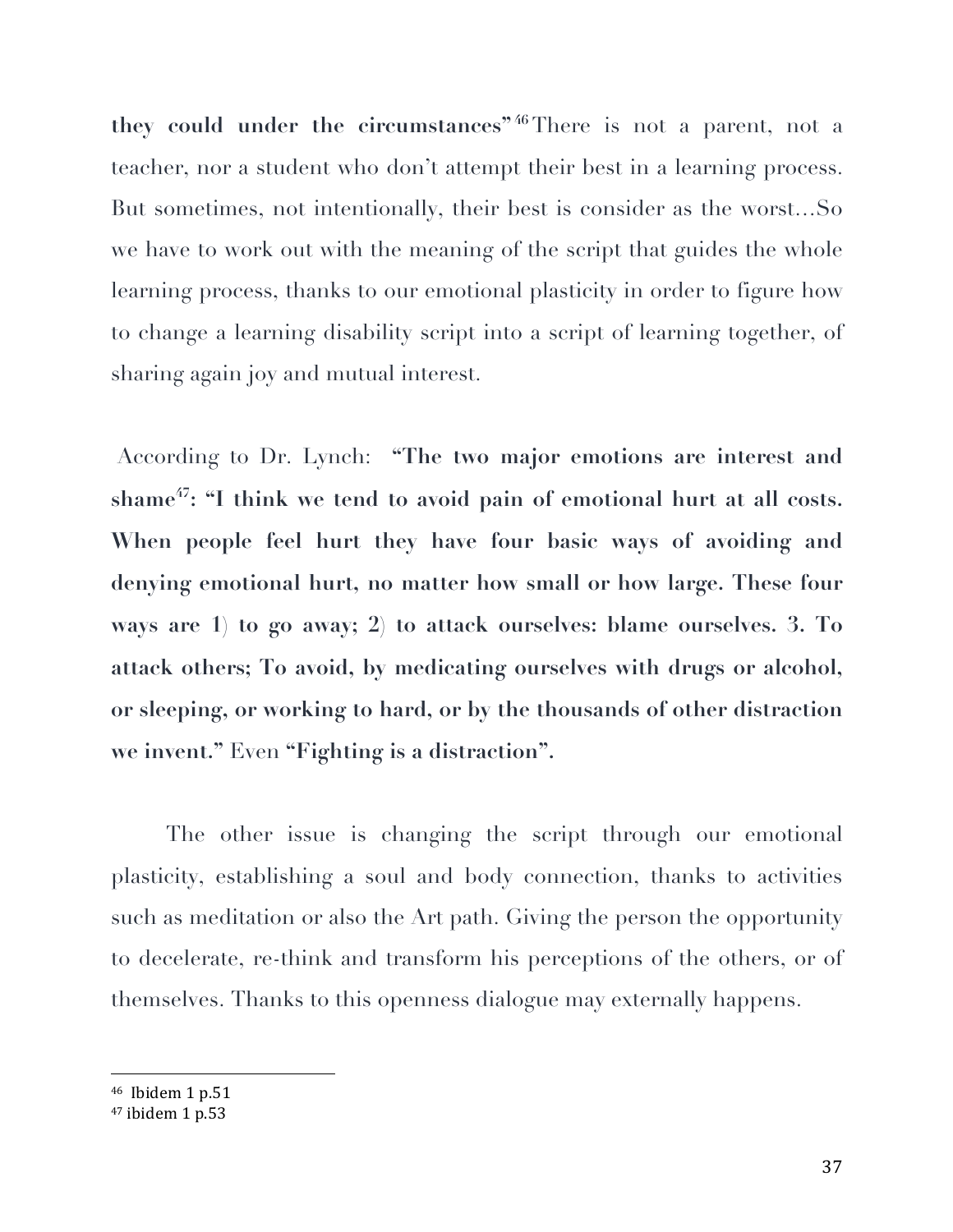**they could under the circumstances" <sup>46</sup>**There is not a parent, not a teacher, nor a student who don't attempt their best in a learning process. But sometimes, not intentionally, their best is consider as the worst…So we have to work out with the meaning of the script that guides the whole learning process, thanks to our emotional plasticity in order to figure how to change a learning disability script into a script of learning together, of sharing again joy and mutual interest.

According to Dr. Lynch: **"The two major emotions are interest and shame47: "I think we tend to avoid pain of emotional hurt at all costs. When people feel hurt they have four basic ways of avoiding and denying emotional hurt, no matter how small or how large. These four ways are 1) to go away; 2) to attack ourselves: blame ourselves. 3. To attack others; To avoid, by medicating ourselves with drugs or alcohol, or sleeping, or working to hard, or by the thousands of other distraction we invent."** Even **"Fighting is a distraction".**

The other issue is changing the script through our emotional plasticity, establishing a soul and body connection, thanks to activities such as meditation or also the Art path. Giving the person the opportunity to decelerate, re-think and transform his perceptions of the others, or of themselves. Thanks to this openness dialogue may externally happens.

<sup>46</sup> Ibidem 1 p.51

 $47$  ibidem 1 p.53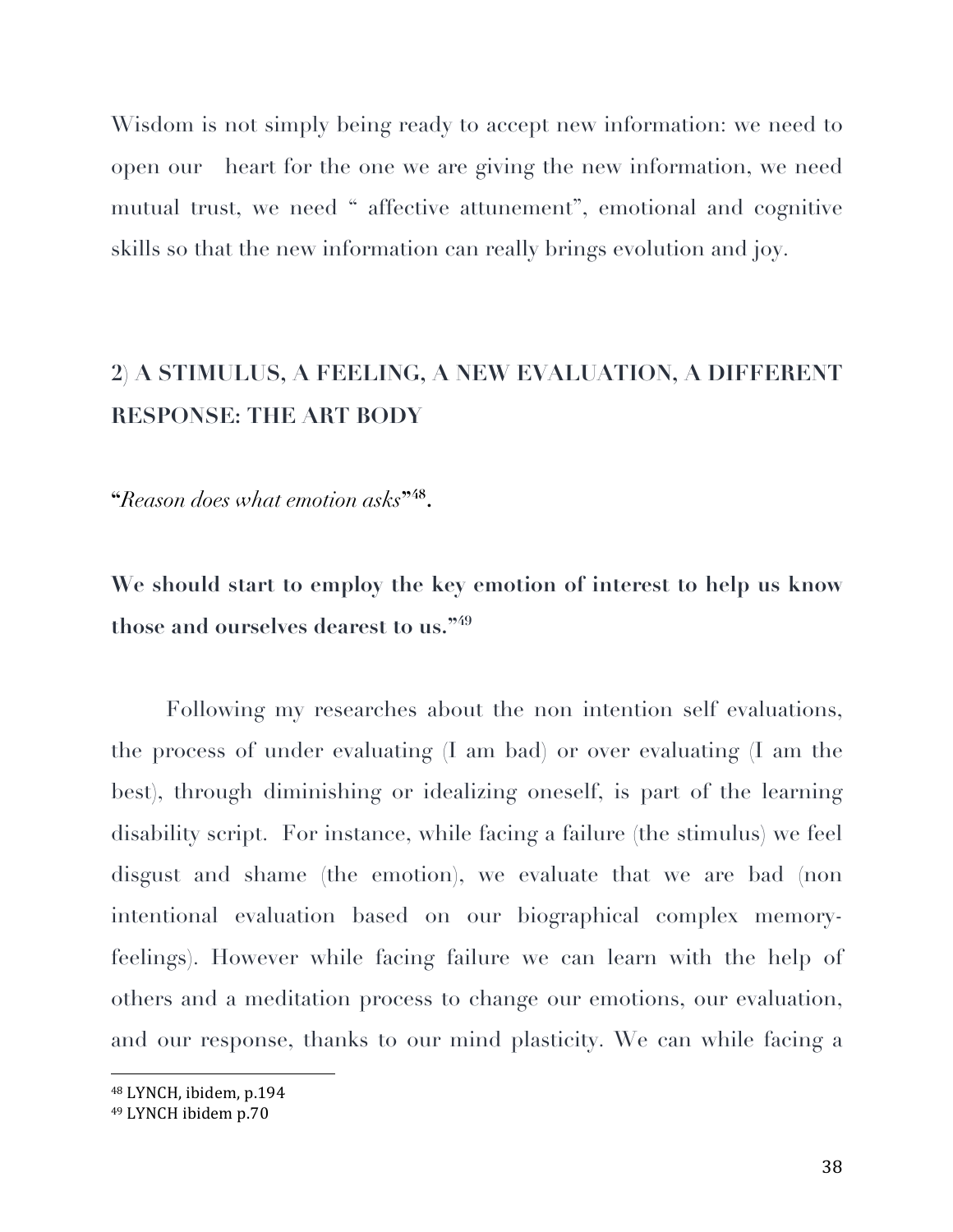Wisdom is not simply being ready to accept new information: we need to open our heart for the one we are giving the new information, we need mutual trust, we need " affective attunement", emotional and cognitive skills so that the new information can really brings evolution and joy.

# **2) A STIMULUS, A FEELING, A NEW EVALUATION, A DIFFERENT RESPONSE: THE ART BODY**

**"***Reason does what emotion asks***"48.**

**We should start to employ the key emotion of interest to help us know those and ourselves dearest to us."49**

Following my researches about the non intention self evaluations, the process of under evaluating (I am bad) or over evaluating (I am the best), through diminishing or idealizing oneself, is part of the learning disability script. For instance, while facing a failure (the stimulus) we feel disgust and shame (the emotion), we evaluate that we are bad (non intentional evaluation based on our biographical complex memoryfeelings). However while facing failure we can learn with the help of others and a meditation process to change our emotions, our evaluation, and our response, thanks to our mind plasticity. We can while facing a

<sup>48</sup> LYNCH, ibidem, p.194

<sup>&</sup>lt;sup>49</sup> LYNCH ibidem p.70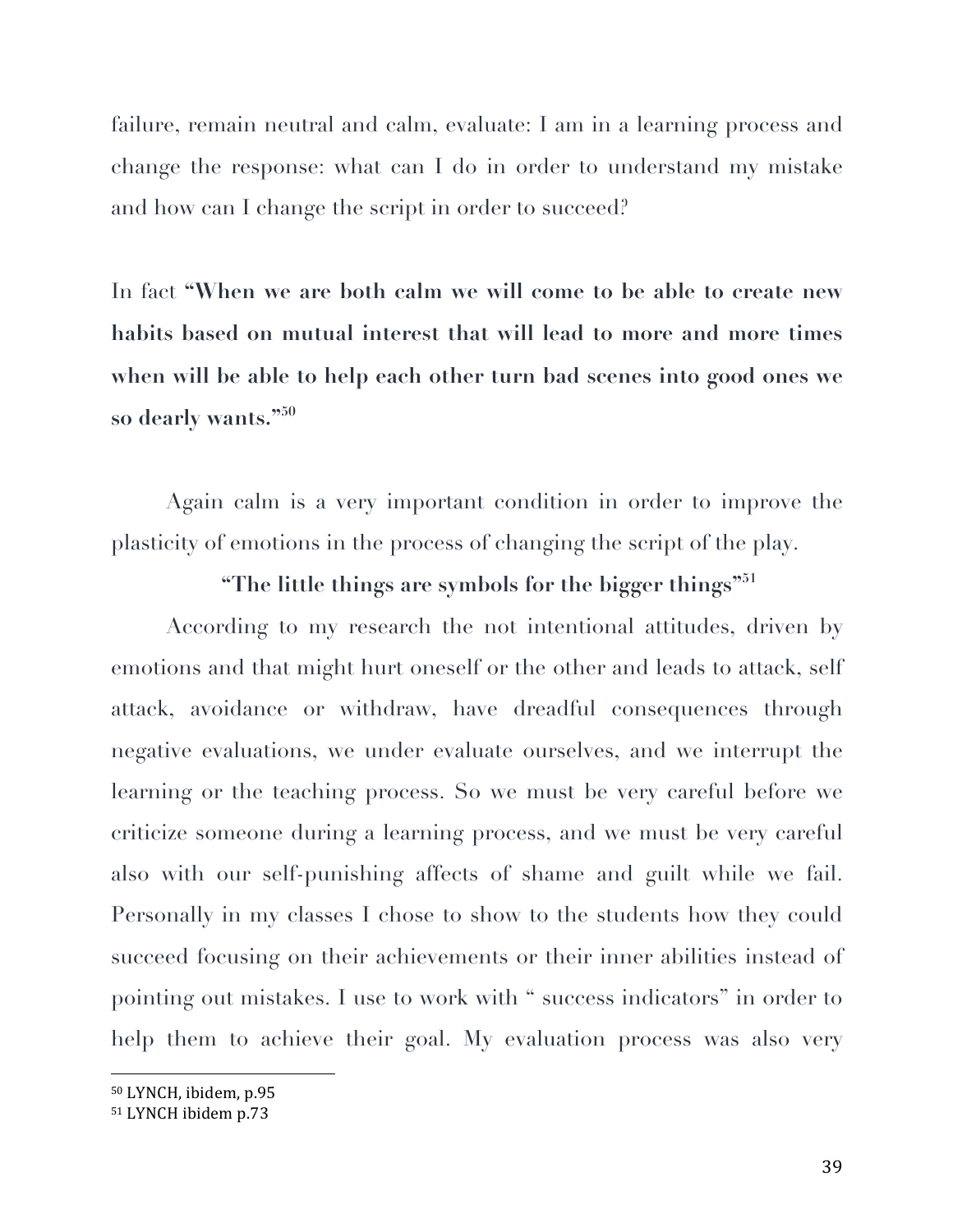failure, remain neutral and calm, evaluate: I am in a learning process and change the response: what can I do in order to understand my mistake and how can I change the script in order to succeed?

In fact **"When we are both calm we will come to be able to create new habits based on mutual interest that will lead to more and more times when will be able to help each other turn bad scenes into good ones we so dearly wants."50**

Again calm is a very important condition in order to improve the plasticity of emotions in the process of changing the script of the play.

### **"The little things are symbols for the bigger things"51**

According to my research the not intentional attitudes, driven by emotions and that might hurt oneself or the other and leads to attack, self attack, avoidance or withdraw, have dreadful consequences through negative evaluations, we under evaluate ourselves, and we interrupt the learning or the teaching process. So we must be very careful before we criticize someone during a learning process, and we must be very careful also with our self-punishing affects of shame and guilt while we fail. Personally in my classes I chose to show to the students how they could succeed focusing on their achievements or their inner abilities instead of pointing out mistakes. I use to work with " success indicators" in order to help them to achieve their goal. My evaluation process was also very

<sup>&</sup>lt;sup>50</sup> LYNCH, ibidem, p.95

<sup>&</sup>lt;sup>51</sup> LYNCH ibidem p.73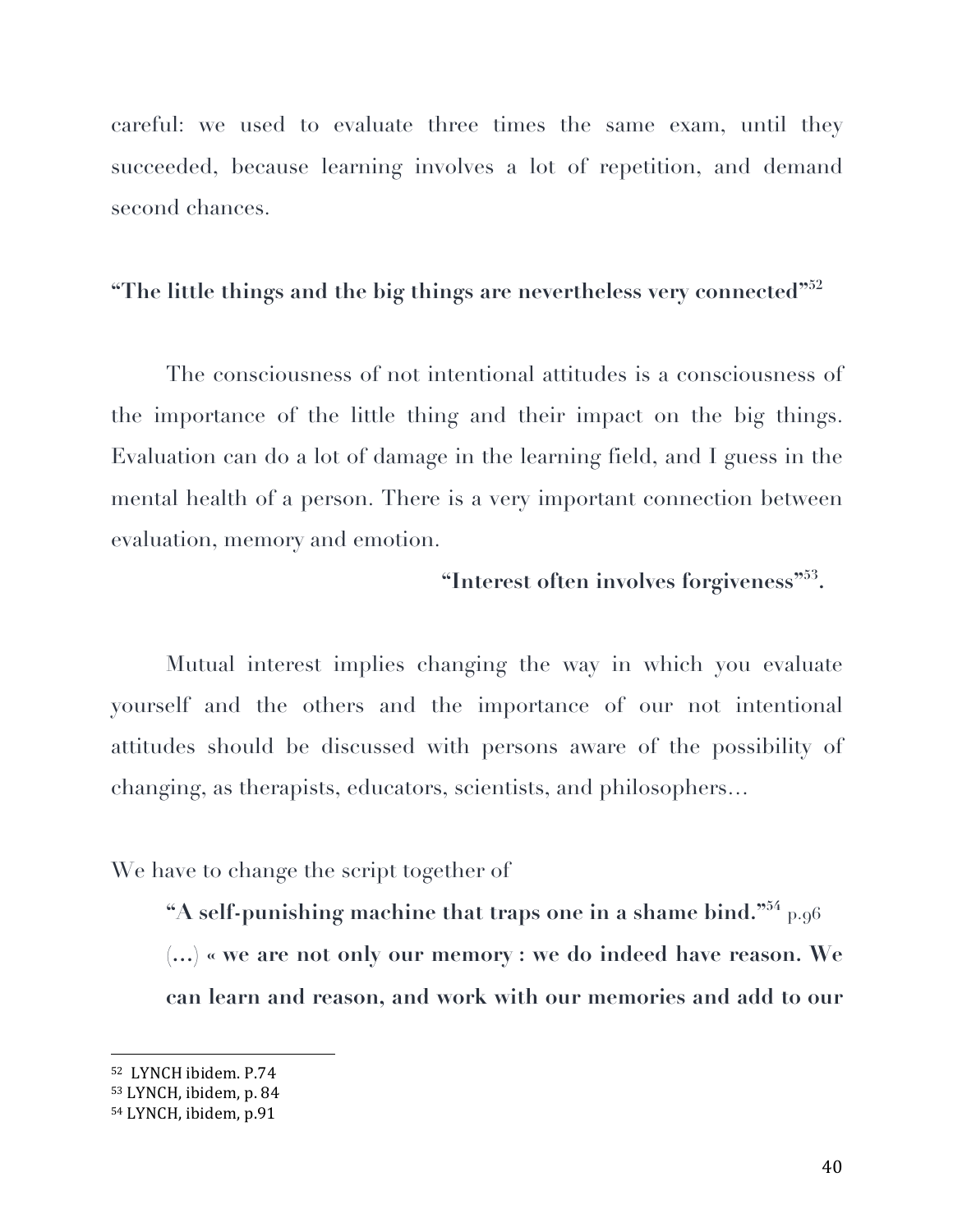careful: we used to evaluate three times the same exam, until they succeeded, because learning involves a lot of repetition, and demand second chances.

### **"The little things and the big things are nevertheless very connected"52**

The consciousness of not intentional attitudes is a consciousness of the importance of the little thing and their impact on the big things. Evaluation can do a lot of damage in the learning field, and I guess in the mental health of a person. There is a very important connection between evaluation, memory and emotion.

### **"Interest often involves forgiveness"53.**

Mutual interest implies changing the way in which you evaluate yourself and the others and the importance of our not intentional attitudes should be discussed with persons aware of the possibility of changing, as therapists, educators, scientists, and philosophers…

We have to change the script together of

**"A self-punishing machine that traps one in a shame bind."54** p.96 **(…) « we are not only our memory : we do indeed have reason. We can learn and reason, and work with our memories and add to our** 

<sup>&</sup>lt;sup>52</sup> LYNCH ibidem. P.74

<sup>53</sup> LYNCH, ibidem, p. 84

<sup>54</sup> LYNCH, ibidem, p.91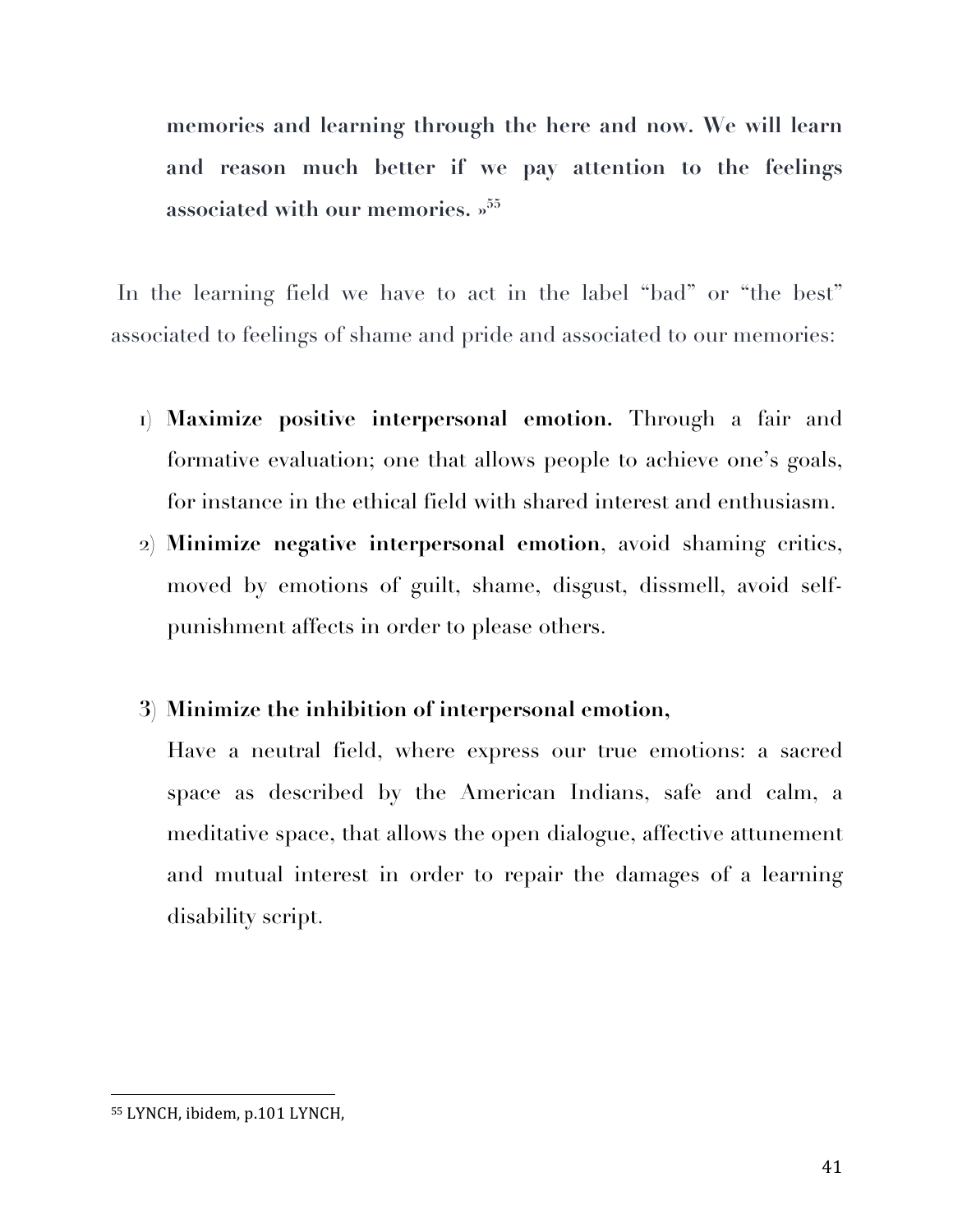**memories and learning through the here and now. We will learn and reason much better if we pay attention to the feelings associated with our memories. »55**

In the learning field we have to act in the label "bad" or "the best" associated to feelings of shame and pride and associated to our memories:

- 1) **Maximize positive interpersonal emotion.** Through a fair and formative evaluation; one that allows people to achieve one's goals, for instance in the ethical field with shared interest and enthusiasm.
- 2) **Minimize negative interpersonal emotion**, avoid shaming critics, moved by emotions of guilt, shame, disgust, dissmell, avoid selfpunishment affects in order to please others.

## **3) Minimize the inhibition of interpersonal emotion,**

Have a neutral field, where express our true emotions: a sacred space as described by the American Indians, safe and calm, a meditative space, that allows the open dialogue, affective attunement and mutual interest in order to repair the damages of a learning disability script.

 <sup>55</sup> LYNCH, ibidem, p.101 LYNCH,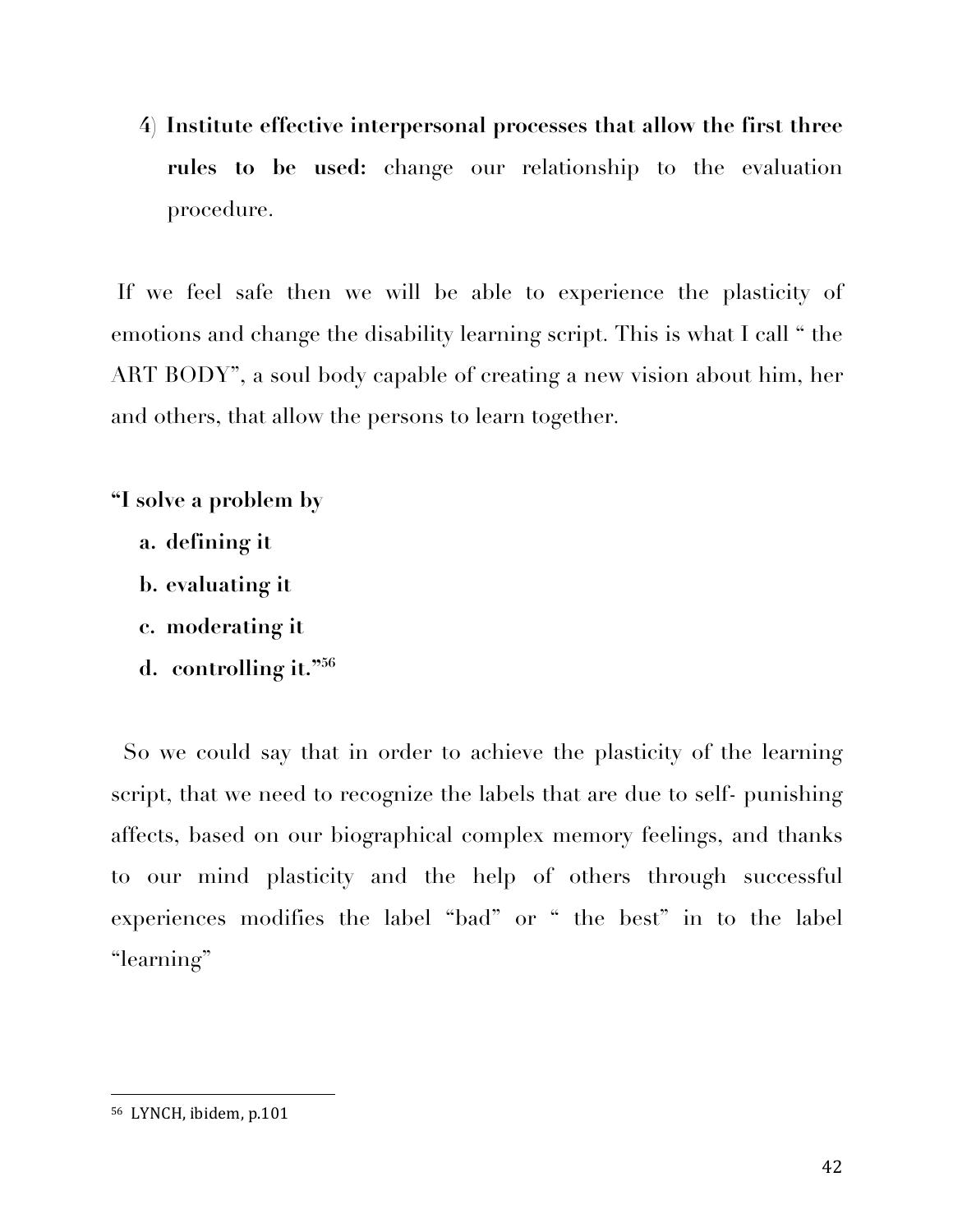**4) Institute effective interpersonal processes that allow the first three rules to be used:** change our relationship to the evaluation procedure.

If we feel safe then we will be able to experience the plasticity of emotions and change the disability learning script. This is what I call " the ART BODY", a soul body capable of creating a new vision about him, her and others, that allow the persons to learn together.

## **"I solve a problem by**

- **a. defining it**
- **b. evaluating it**
- **c. moderating it**
- **d. controlling it."56**

So we could say that in order to achieve the plasticity of the learning script, that we need to recognize the labels that are due to self- punishing affects, based on our biographical complex memory feelings, and thanks to our mind plasticity and the help of others through successful experiences modifies the label "bad" or " the best" in to the label "learning"

<sup>&</sup>lt;sup>56</sup> LYNCH, ibidem, p.101